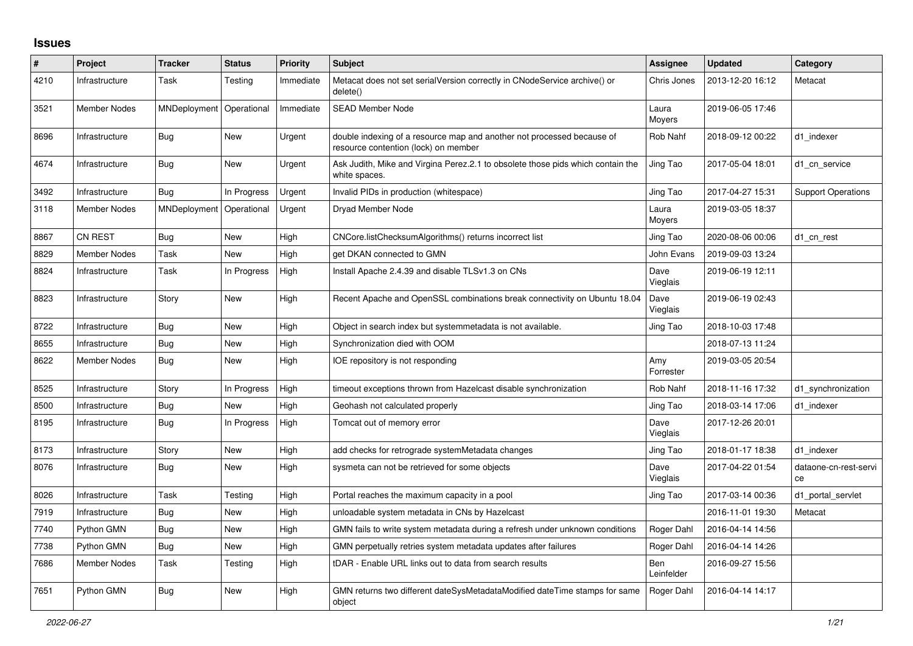## **Issues**

| $\#$ | Project             | <b>Tracker</b>           | <b>Status</b> | Priority  | <b>Subject</b>                                                                                                 | Assignee          | <b>Updated</b>   | Category                    |
|------|---------------------|--------------------------|---------------|-----------|----------------------------------------------------------------------------------------------------------------|-------------------|------------------|-----------------------------|
| 4210 | Infrastructure      | Task                     | Testing       | Immediate | Metacat does not set serialVersion correctly in CNodeService archive() or<br>delete()                          | Chris Jones       | 2013-12-20 16:12 | Metacat                     |
| 3521 | Member Nodes        | MNDeployment             | Operational   | Immediate | <b>SEAD Member Node</b>                                                                                        | Laura<br>Moyers   | 2019-06-05 17:46 |                             |
| 8696 | Infrastructure      | <b>Bug</b>               | <b>New</b>    | Urgent    | double indexing of a resource map and another not processed because of<br>resource contention (lock) on member | Rob Nahf          | 2018-09-12 00:22 | d1 indexer                  |
| 4674 | Infrastructure      | Bug                      | <b>New</b>    | Urgent    | Ask Judith, Mike and Virgina Perez.2.1 to obsolete those pids which contain the<br>white spaces.               | Jing Tao          | 2017-05-04 18:01 | d1 cn service               |
| 3492 | Infrastructure      | Bug                      | In Progress   | Urgent    | Invalid PIDs in production (whitespace)                                                                        | Jing Tao          | 2017-04-27 15:31 | <b>Support Operations</b>   |
| 3118 | <b>Member Nodes</b> | MNDeployment Operational |               | Urgent    | Dryad Member Node                                                                                              | Laura<br>Moyers   | 2019-03-05 18:37 |                             |
| 8867 | <b>CN REST</b>      | <b>Bug</b>               | <b>New</b>    | High      | CNCore.listChecksumAlgorithms() returns incorrect list                                                         | Jing Tao          | 2020-08-06 00:06 | d1_cn_rest                  |
| 8829 | <b>Member Nodes</b> | Task                     | <b>New</b>    | High      | get DKAN connected to GMN                                                                                      | John Evans        | 2019-09-03 13:24 |                             |
| 8824 | Infrastructure      | Task                     | In Progress   | High      | Install Apache 2.4.39 and disable TLSv1.3 on CNs                                                               | Dave<br>Vieglais  | 2019-06-19 12:11 |                             |
| 8823 | Infrastructure      | Story                    | <b>New</b>    | High      | Recent Apache and OpenSSL combinations break connectivity on Ubuntu 18.04                                      | Dave<br>Vieglais  | 2019-06-19 02:43 |                             |
| 8722 | Infrastructure      | <b>Bug</b>               | <b>New</b>    | High      | Object in search index but systemmetadata is not available.                                                    | Jing Tao          | 2018-10-03 17:48 |                             |
| 8655 | Infrastructure      | Bug                      | <b>New</b>    | High      | Synchronization died with OOM                                                                                  |                   | 2018-07-13 11:24 |                             |
| 8622 | <b>Member Nodes</b> | <b>Bug</b>               | <b>New</b>    | High      | IOE repository is not responding                                                                               | Amy<br>Forrester  | 2019-03-05 20:54 |                             |
| 8525 | Infrastructure      | Story                    | In Progress   | High      | timeout exceptions thrown from Hazelcast disable synchronization                                               | Rob Nahf          | 2018-11-16 17:32 | d1_synchronization          |
| 8500 | Infrastructure      | Bug                      | <b>New</b>    | High      | Geohash not calculated properly                                                                                | Jing Tao          | 2018-03-14 17:06 | d1 indexer                  |
| 8195 | Infrastructure      | <b>Bug</b>               | In Progress   | High      | Tomcat out of memory error                                                                                     | Dave<br>Vieglais  | 2017-12-26 20:01 |                             |
| 8173 | Infrastructure      | Story                    | New           | High      | add checks for retrograde systemMetadata changes                                                               | Jing Tao          | 2018-01-17 18:38 | d1 indexer                  |
| 8076 | Infrastructure      | <b>Bug</b>               | New           | High      | sysmeta can not be retrieved for some objects                                                                  | Dave<br>Vieglais  | 2017-04-22 01:54 | dataone-cn-rest-servi<br>ce |
| 8026 | Infrastructure      | Task                     | Testing       | High      | Portal reaches the maximum capacity in a pool                                                                  | Jing Tao          | 2017-03-14 00:36 | d1_portal_servlet           |
| 7919 | Infrastructure      | <b>Bug</b>               | <b>New</b>    | High      | unloadable system metadata in CNs by Hazelcast                                                                 |                   | 2016-11-01 19:30 | Metacat                     |
| 7740 | Python GMN          | Bug                      | New           | High      | GMN fails to write system metadata during a refresh under unknown conditions                                   | Roger Dahl        | 2016-04-14 14:56 |                             |
| 7738 | Python GMN          | Bug                      | New           | High      | GMN perpetually retries system metadata updates after failures                                                 | Roger Dahl        | 2016-04-14 14:26 |                             |
| 7686 | <b>Member Nodes</b> | Task                     | Testing       | High      | tDAR - Enable URL links out to data from search results                                                        | Ben<br>Leinfelder | 2016-09-27 15:56 |                             |
| 7651 | Python GMN          | Bug                      | <b>New</b>    | High      | GMN returns two different dateSysMetadataModified dateTime stamps for same<br>object                           | Roger Dahl        | 2016-04-14 14:17 |                             |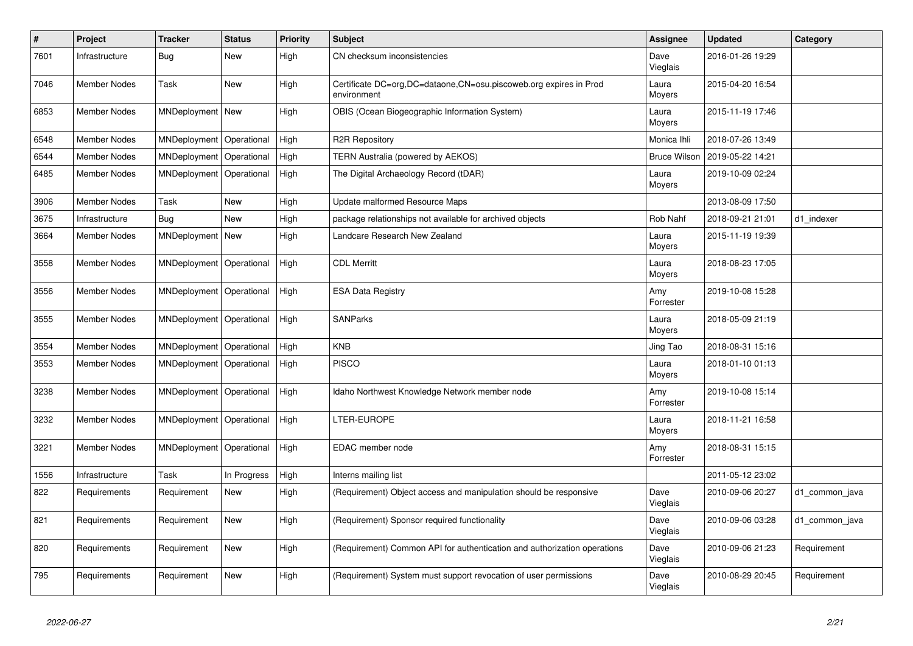| $\vert$ # | Project             | <b>Tracker</b>     | <b>Status</b> | <b>Priority</b> | <b>Subject</b>                                                                   | Assignee            | <b>Updated</b>   | Category       |
|-----------|---------------------|--------------------|---------------|-----------------|----------------------------------------------------------------------------------|---------------------|------------------|----------------|
| 7601      | Infrastructure      | Bug                | <b>New</b>    | High            | CN checksum inconsistencies                                                      | Dave<br>Vieglais    | 2016-01-26 19:29 |                |
| 7046      | <b>Member Nodes</b> | Task               | <b>New</b>    | High            | Certificate DC=org,DC=dataone,CN=osu.piscoweb.org expires in Prod<br>environment | Laura<br>Moyers     | 2015-04-20 16:54 |                |
| 6853      | <b>Member Nodes</b> | MNDeployment   New |               | High            | OBIS (Ocean Biogeographic Information System)                                    | Laura<br>Moyers     | 2015-11-19 17:46 |                |
| 6548      | <b>Member Nodes</b> | MNDeployment       | Operational   | High            | <b>R2R Repository</b>                                                            | Monica Ihli         | 2018-07-26 13:49 |                |
| 6544      | <b>Member Nodes</b> | MNDeployment       | Operational   | High            | TERN Australia (powered by AEKOS)                                                | <b>Bruce Wilson</b> | 2019-05-22 14:21 |                |
| 6485      | <b>Member Nodes</b> | MNDeployment       | Operational   | High            | The Digital Archaeology Record (tDAR)                                            | Laura<br>Moyers     | 2019-10-09 02:24 |                |
| 3906      | <b>Member Nodes</b> | Task               | New           | High            | Update malformed Resource Maps                                                   |                     | 2013-08-09 17:50 |                |
| 3675      | Infrastructure      | Bug                | <b>New</b>    | High            | package relationships not available for archived objects                         | Rob Nahf            | 2018-09-21 21:01 | d1_indexer     |
| 3664      | <b>Member Nodes</b> | MNDeployment       | New           | High            | Landcare Research New Zealand                                                    | Laura<br>Moyers     | 2015-11-19 19:39 |                |
| 3558      | <b>Member Nodes</b> | MNDeployment       | Operational   | High            | <b>CDL Merritt</b>                                                               | Laura<br>Moyers     | 2018-08-23 17:05 |                |
| 3556      | <b>Member Nodes</b> | MNDeployment       | Operational   | High            | <b>ESA Data Registry</b>                                                         | Amy<br>Forrester    | 2019-10-08 15:28 |                |
| 3555      | Member Nodes        | MNDeployment       | Operational   | High            | <b>SANParks</b>                                                                  | Laura<br>Moyers     | 2018-05-09 21:19 |                |
| 3554      | Member Nodes        | MNDeployment       | Operational   | High            | <b>KNB</b>                                                                       | Jing Tao            | 2018-08-31 15:16 |                |
| 3553      | <b>Member Nodes</b> | MNDeployment       | Operational   | High            | <b>PISCO</b>                                                                     | Laura<br>Moyers     | 2018-01-10 01:13 |                |
| 3238      | <b>Member Nodes</b> | MNDeployment       | Operational   | High            | Idaho Northwest Knowledge Network member node                                    | Amy<br>Forrester    | 2019-10-08 15:14 |                |
| 3232      | <b>Member Nodes</b> | MNDeployment       | Operational   | High            | LTER-EUROPE                                                                      | Laura<br>Moyers     | 2018-11-21 16:58 |                |
| 3221      | <b>Member Nodes</b> | MNDeployment       | Operational   | High            | EDAC member node                                                                 | Amy<br>Forrester    | 2018-08-31 15:15 |                |
| 1556      | Infrastructure      | Task               | In Progress   | High            | Interns mailing list                                                             |                     | 2011-05-12 23:02 |                |
| 822       | Requirements        | Requirement        | <b>New</b>    | High            | (Requirement) Object access and manipulation should be responsive                | Dave<br>Vieglais    | 2010-09-06 20:27 | d1 common java |
| 821       | Requirements        | Requirement        | <b>New</b>    | High            | (Requirement) Sponsor required functionality                                     | Dave<br>Vieglais    | 2010-09-06 03:28 | d1_common_java |
| 820       | Requirements        | Requirement        | <b>New</b>    | High            | (Requirement) Common API for authentication and authorization operations         | Dave<br>Vieglais    | 2010-09-06 21:23 | Requirement    |
| 795       | Requirements        | Requirement        | <b>New</b>    | High            | (Requirement) System must support revocation of user permissions                 | Dave<br>Vieglais    | 2010-08-29 20:45 | Requirement    |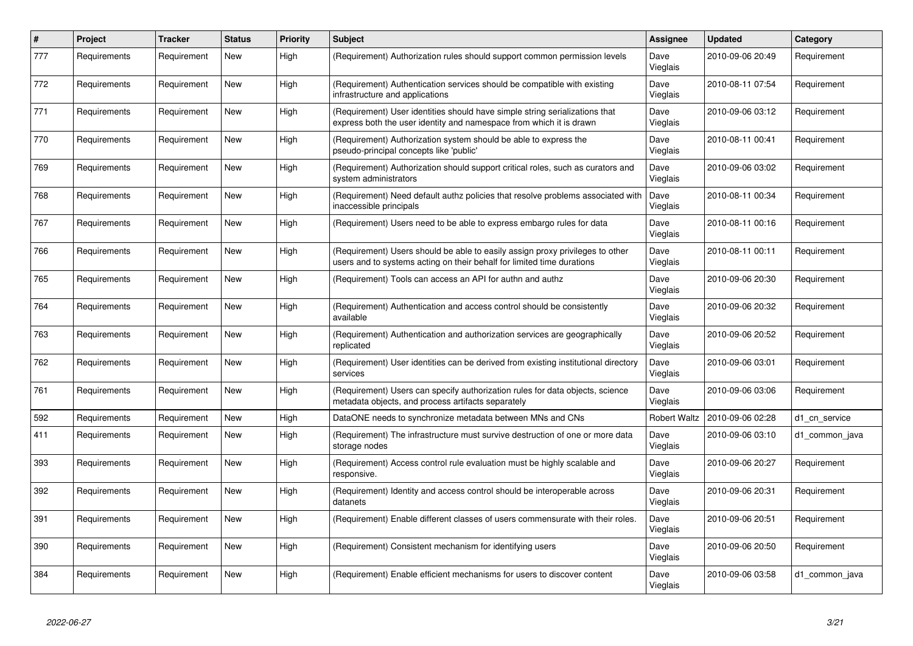| $\pmb{\#}$ | <b>Project</b> | <b>Tracker</b> | <b>Status</b> | <b>Priority</b> | <b>Subject</b>                                                                                                                                          | Assignee            | <b>Updated</b>   | Category       |
|------------|----------------|----------------|---------------|-----------------|---------------------------------------------------------------------------------------------------------------------------------------------------------|---------------------|------------------|----------------|
| 777        | Requirements   | Requirement    | New           | High            | (Requirement) Authorization rules should support common permission levels                                                                               | Dave<br>Vieglais    | 2010-09-06 20:49 | Requirement    |
| 772        | Requirements   | Requirement    | <b>New</b>    | High            | (Requirement) Authentication services should be compatible with existing<br>infrastructure and applications                                             | Dave<br>Vieglais    | 2010-08-11 07:54 | Requirement    |
| 771        | Requirements   | Requirement    | <b>New</b>    | High            | (Requirement) User identities should have simple string serializations that<br>express both the user identity and namespace from which it is drawn      | Dave<br>Vieglais    | 2010-09-06 03:12 | Requirement    |
| 770        | Requirements   | Requirement    | New           | High            | (Requirement) Authorization system should be able to express the<br>pseudo-principal concepts like 'public'                                             | Dave<br>Vieglais    | 2010-08-11 00:41 | Requirement    |
| 769        | Requirements   | Requirement    | New           | High            | (Requirement) Authorization should support critical roles, such as curators and<br>system administrators                                                | Dave<br>Vieglais    | 2010-09-06 03:02 | Requirement    |
| 768        | Requirements   | Requirement    | <b>New</b>    | High            | (Requirement) Need default authz policies that resolve problems associated with<br>inaccessible principals                                              | Dave<br>Vieglais    | 2010-08-11 00:34 | Requirement    |
| 767        | Requirements   | Requirement    | New           | High            | (Requirement) Users need to be able to express embargo rules for data                                                                                   | Dave<br>Vieglais    | 2010-08-11 00:16 | Requirement    |
| 766        | Requirements   | Requirement    | New           | High            | (Requirement) Users should be able to easily assign proxy privileges to other<br>users and to systems acting on their behalf for limited time durations | Dave<br>Vieglais    | 2010-08-11 00:11 | Requirement    |
| 765        | Requirements   | Requirement    | New           | High            | (Requirement) Tools can access an API for authn and authz                                                                                               | Dave<br>Vieglais    | 2010-09-06 20:30 | Requirement    |
| 764        | Requirements   | Requirement    | New           | High            | (Requirement) Authentication and access control should be consistently<br>available                                                                     | Dave<br>Vieglais    | 2010-09-06 20:32 | Requirement    |
| 763        | Requirements   | Requirement    | New           | High            | (Requirement) Authentication and authorization services are geographically<br>replicated                                                                | Dave<br>Vieglais    | 2010-09-06 20:52 | Requirement    |
| 762        | Requirements   | Requirement    | <b>New</b>    | High            | (Requirement) User identities can be derived from existing institutional directory<br>services                                                          | Dave<br>Vieglais    | 2010-09-06 03:01 | Requirement    |
| 761        | Requirements   | Requirement    | New           | High            | (Requirement) Users can specify authorization rules for data objects, science<br>metadata objects, and process artifacts separately                     | Dave<br>Vieglais    | 2010-09-06 03:06 | Requirement    |
| 592        | Requirements   | Requirement    | New           | High            | DataONE needs to synchronize metadata between MNs and CNs                                                                                               | <b>Robert Waltz</b> | 2010-09-06 02:28 | d1 cn service  |
| 411        | Requirements   | Requirement    | New           | High            | (Requirement) The infrastructure must survive destruction of one or more data<br>storage nodes                                                          | Dave<br>Vieglais    | 2010-09-06 03:10 | d1 common java |
| 393        | Requirements   | Requirement    | New           | High            | (Requirement) Access control rule evaluation must be highly scalable and<br>responsive.                                                                 | Dave<br>Vieglais    | 2010-09-06 20:27 | Requirement    |
| 392        | Requirements   | Requirement    | New           | High            | (Requirement) Identity and access control should be interoperable across<br>datanets                                                                    | Dave<br>Vieglais    | 2010-09-06 20:31 | Requirement    |
| 391        | Requirements   | Requirement    | <b>New</b>    | High            | (Requirement) Enable different classes of users commensurate with their roles.                                                                          | Dave<br>Vieglais    | 2010-09-06 20:51 | Requirement    |
| 390        | Requirements   | Requirement    | New           | High            | (Requirement) Consistent mechanism for identifying users                                                                                                | Dave<br>Vieglais    | 2010-09-06 20:50 | Requirement    |
| 384        | Requirements   | Requirement    | New           | High            | (Requirement) Enable efficient mechanisms for users to discover content                                                                                 | Dave<br>Vieglais    | 2010-09-06 03:58 | d1 common java |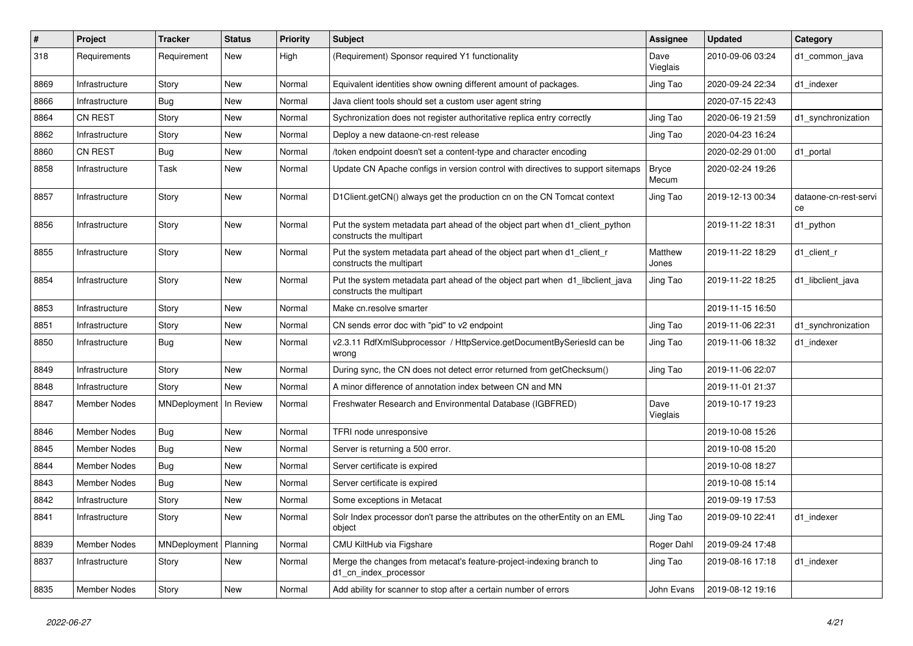| #    | <b>Project</b>      | <b>Tracker</b>          | <b>Status</b> | <b>Priority</b> | Subject                                                                                                  | <b>Assignee</b>       | <b>Updated</b>   | Category                    |
|------|---------------------|-------------------------|---------------|-----------------|----------------------------------------------------------------------------------------------------------|-----------------------|------------------|-----------------------------|
| 318  | Requirements        | Requirement             | New           | High            | (Requirement) Sponsor required Y1 functionality                                                          | Dave<br>Vieglais      | 2010-09-06 03:24 | d1_common_java              |
| 8869 | Infrastructure      | Story                   | New           | Normal          | Equivalent identities show owning different amount of packages.                                          | Jing Tao              | 2020-09-24 22:34 | d1 indexer                  |
| 8866 | Infrastructure      | Bug                     | New           | Normal          | Java client tools should set a custom user agent string                                                  |                       | 2020-07-15 22:43 |                             |
| 8864 | <b>CN REST</b>      | Story                   | <b>New</b>    | Normal          | Sychronization does not register authoritative replica entry correctly                                   | Jing Tao              | 2020-06-19 21:59 | d1_synchronization          |
| 8862 | Infrastructure      | Story                   | New           | Normal          | Deploy a new dataone-cn-rest release                                                                     | Jing Tao              | 2020-04-23 16:24 |                             |
| 8860 | <b>CN REST</b>      | <b>Bug</b>              | <b>New</b>    | Normal          | /token endpoint doesn't set a content-type and character encoding                                        |                       | 2020-02-29 01:00 | d1_portal                   |
| 8858 | Infrastructure      | Task                    | New           | Normal          | Update CN Apache configs in version control with directives to support sitemaps                          | <b>Bryce</b><br>Mecum | 2020-02-24 19:26 |                             |
| 8857 | Infrastructure      | Story                   | New           | Normal          | D1Client.getCN() always get the production cn on the CN Tomcat context                                   | Jing Tao              | 2019-12-13 00:34 | dataone-cn-rest-servi<br>ce |
| 8856 | Infrastructure      | Story                   | New           | Normal          | Put the system metadata part ahead of the object part when d1_client_python<br>constructs the multipart  |                       | 2019-11-22 18:31 | d1_python                   |
| 8855 | Infrastructure      | Story                   | New           | Normal          | Put the system metadata part ahead of the object part when d1_client_r<br>constructs the multipart       | Matthew<br>Jones      | 2019-11-22 18:29 | d1_client_r                 |
| 8854 | Infrastructure      | Story                   | New           | Normal          | Put the system metadata part ahead of the object part when d1_libclient_java<br>constructs the multipart | Jing Tao              | 2019-11-22 18:25 | d1_libclient_java           |
| 8853 | Infrastructure      | Story                   | <b>New</b>    | Normal          | Make cn.resolve smarter                                                                                  |                       | 2019-11-15 16:50 |                             |
| 8851 | Infrastructure      | Story                   | New           | Normal          | CN sends error doc with "pid" to v2 endpoint                                                             | Jing Tao              | 2019-11-06 22:31 | d1_synchronization          |
| 8850 | Infrastructure      | Bug                     | New           | Normal          | v2.3.11 RdfXmlSubprocessor / HttpService.getDocumentBySeriesId can be<br>wrong                           | Jing Tao              | 2019-11-06 18:32 | d1 indexer                  |
| 8849 | Infrastructure      | Story                   | New           | Normal          | During sync, the CN does not detect error returned from getChecksum()                                    | Jing Tao              | 2019-11-06 22:07 |                             |
| 8848 | Infrastructure      | Story                   | New           | Normal          | A minor difference of annotation index between CN and MN                                                 |                       | 2019-11-01 21:37 |                             |
| 8847 | Member Nodes        | MNDeployment            | In Review     | Normal          | Freshwater Research and Environmental Database (IGBFRED)                                                 | Dave<br>Vieglais      | 2019-10-17 19:23 |                             |
| 8846 | <b>Member Nodes</b> | <b>Bug</b>              | New           | Normal          | TFRI node unresponsive                                                                                   |                       | 2019-10-08 15:26 |                             |
| 8845 | <b>Member Nodes</b> | Bug                     | New           | Normal          | Server is returning a 500 error.                                                                         |                       | 2019-10-08 15:20 |                             |
| 8844 | Member Nodes        | Bug                     | New           | Normal          | Server certificate is expired                                                                            |                       | 2019-10-08 18:27 |                             |
| 8843 | Member Nodes        | <b>Bug</b>              | New           | Normal          | Server certificate is expired                                                                            |                       | 2019-10-08 15:14 |                             |
| 8842 | Infrastructure      | Story                   | New           | Normal          | Some exceptions in Metacat                                                                               |                       | 2019-09-19 17:53 |                             |
| 8841 | Infrastructure      | Story                   | New           | Normal          | Solr Index processor don't parse the attributes on the otherEntity on an EML<br>object                   | Jing Tao              | 2019-09-10 22:41 | d1_indexer                  |
| 8839 | Member Nodes        | MNDeployment   Planning |               | Normal          | CMU KiltHub via Figshare                                                                                 | Roger Dahl            | 2019-09-24 17:48 |                             |
| 8837 | Infrastructure      | Story                   | New           | Normal          | Merge the changes from metacat's feature-project-indexing branch to<br>d1_cn_index_processor             | Jing Tao              | 2019-08-16 17:18 | d1 indexer                  |
| 8835 | Member Nodes        | Story                   | New           | Normal          | Add ability for scanner to stop after a certain number of errors                                         | John Evans            | 2019-08-12 19:16 |                             |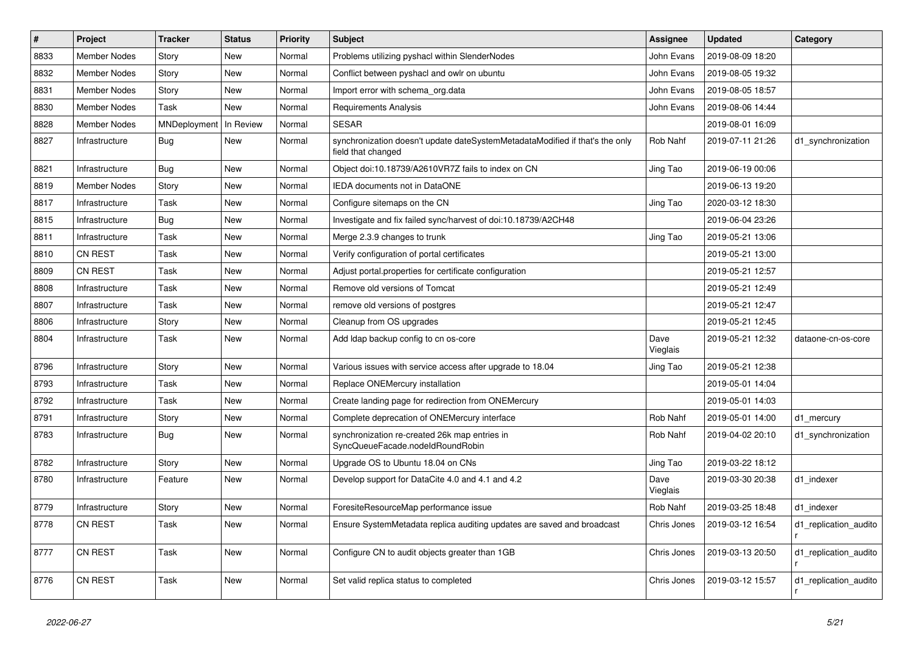| $\#$ | Project             | <b>Tracker</b> | <b>Status</b> | Priority | <b>Subject</b>                                                                                     | <b>Assignee</b>  | <b>Updated</b>   | Category              |
|------|---------------------|----------------|---------------|----------|----------------------------------------------------------------------------------------------------|------------------|------------------|-----------------------|
| 8833 | <b>Member Nodes</b> | Story          | New           | Normal   | Problems utilizing pyshacl within SlenderNodes                                                     | John Evans       | 2019-08-09 18:20 |                       |
| 8832 | <b>Member Nodes</b> | Story          | <b>New</b>    | Normal   | Conflict between pyshacl and owlr on ubuntu                                                        | John Evans       | 2019-08-05 19:32 |                       |
| 8831 | <b>Member Nodes</b> | Story          | New           | Normal   | Import error with schema org.data                                                                  | John Evans       | 2019-08-05 18:57 |                       |
| 8830 | <b>Member Nodes</b> | Task           | New           | Normal   | Requirements Analysis                                                                              | John Evans       | 2019-08-06 14:44 |                       |
| 8828 | <b>Member Nodes</b> | MNDeployment   | In Review     | Normal   | <b>SESAR</b>                                                                                       |                  | 2019-08-01 16:09 |                       |
| 8827 | Infrastructure      | Bug            | New           | Normal   | synchronization doesn't update dateSystemMetadataModified if that's the only<br>field that changed | Rob Nahf         | 2019-07-11 21:26 | d1 synchronization    |
| 8821 | Infrastructure      | <b>Bug</b>     | <b>New</b>    | Normal   | Object doi:10.18739/A2610VR7Z fails to index on CN                                                 | Jing Tao         | 2019-06-19 00:06 |                       |
| 8819 | <b>Member Nodes</b> | Story          | <b>New</b>    | Normal   | IEDA documents not in DataONE                                                                      |                  | 2019-06-13 19:20 |                       |
| 8817 | Infrastructure      | Task           | <b>New</b>    | Normal   | Configure sitemaps on the CN                                                                       | Jing Tao         | 2020-03-12 18:30 |                       |
| 8815 | Infrastructure      | Bug            | <b>New</b>    | Normal   | Investigate and fix failed sync/harvest of doi:10.18739/A2CH48                                     |                  | 2019-06-04 23:26 |                       |
| 8811 | Infrastructure      | Task           | <b>New</b>    | Normal   | Merge 2.3.9 changes to trunk                                                                       | Jing Tao         | 2019-05-21 13:06 |                       |
| 8810 | <b>CN REST</b>      | Task           | <b>New</b>    | Normal   | Verify configuration of portal certificates                                                        |                  | 2019-05-21 13:00 |                       |
| 8809 | <b>CN REST</b>      | Task           | <b>New</b>    | Normal   | Adjust portal properties for certificate configuration                                             |                  | 2019-05-21 12:57 |                       |
| 8808 | Infrastructure      | Task           | <b>New</b>    | Normal   | Remove old versions of Tomcat                                                                      |                  | 2019-05-21 12:49 |                       |
| 8807 | Infrastructure      | Task           | <b>New</b>    | Normal   | remove old versions of postgres                                                                    |                  | 2019-05-21 12:47 |                       |
| 8806 | Infrastructure      | Story          | <b>New</b>    | Normal   | Cleanup from OS upgrades                                                                           |                  | 2019-05-21 12:45 |                       |
| 8804 | Infrastructure      | Task           | New           | Normal   | Add Idap backup config to cn os-core                                                               | Dave<br>Vieglais | 2019-05-21 12:32 | dataone-cn-os-core    |
| 8796 | Infrastructure      | Story          | New           | Normal   | Various issues with service access after upgrade to 18.04                                          | Jing Tao         | 2019-05-21 12:38 |                       |
| 8793 | Infrastructure      | Task           | New           | Normal   | Replace ONEMercury installation                                                                    |                  | 2019-05-01 14:04 |                       |
| 8792 | Infrastructure      | Task           | <b>New</b>    | Normal   | Create landing page for redirection from ONEMercury                                                |                  | 2019-05-01 14:03 |                       |
| 8791 | Infrastructure      | Story          | New           | Normal   | Complete deprecation of ONEMercury interface                                                       | Rob Nahf         | 2019-05-01 14:00 | d1 mercury            |
| 8783 | Infrastructure      | Bug            | New           | Normal   | synchronization re-created 26k map entries in<br>SyncQueueFacade.nodeIdRoundRobin                  | Rob Nahf         | 2019-04-02 20:10 | d1 synchronization    |
| 8782 | Infrastructure      | Story          | <b>New</b>    | Normal   | Upgrade OS to Ubuntu 18.04 on CNs                                                                  | Jing Tao         | 2019-03-22 18:12 |                       |
| 8780 | Infrastructure      | Feature        | New           | Normal   | Develop support for DataCite 4.0 and 4.1 and 4.2                                                   | Dave<br>Vieglais | 2019-03-30 20:38 | d1_indexer            |
| 8779 | Infrastructure      | Story          | <b>New</b>    | Normal   | ForesiteResourceMap performance issue                                                              | Rob Nahf         | 2019-03-25 18:48 | d1 indexer            |
| 8778 | <b>CN REST</b>      | Task           | <b>New</b>    | Normal   | Ensure SystemMetadata replica auditing updates are saved and broadcast                             | Chris Jones      | 2019-03-12 16:54 | d1_replication_audito |
| 8777 | <b>CN REST</b>      | Task           | New           | Normal   | Configure CN to audit objects greater than 1GB                                                     | Chris Jones      | 2019-03-13 20:50 | d1 replication audito |
| 8776 | <b>CN REST</b>      | Task           | <b>New</b>    | Normal   | Set valid replica status to completed                                                              | Chris Jones      | 2019-03-12 15:57 | d1 replication audito |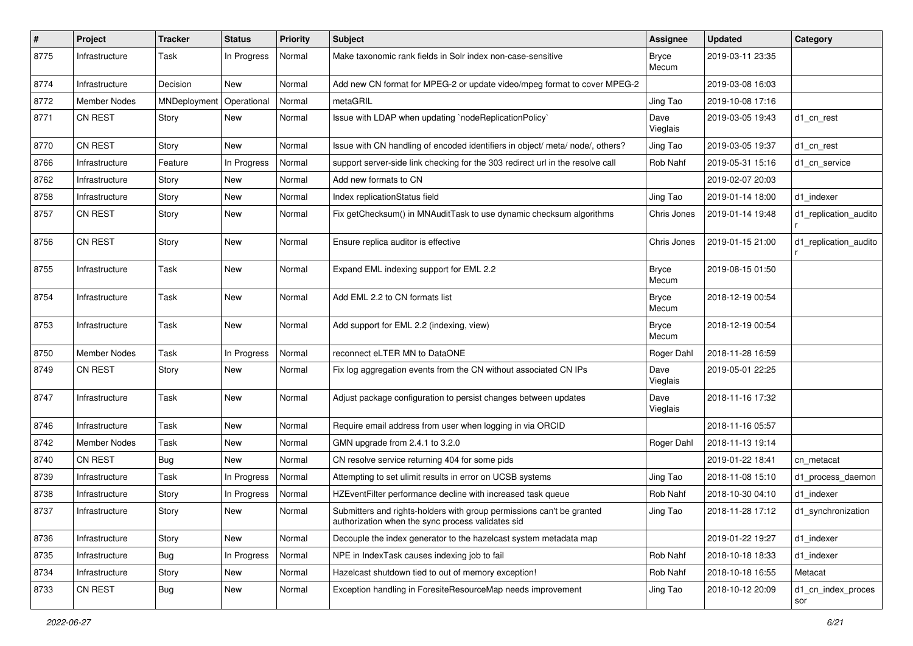| $\#$ | Project             | <b>Tracker</b> | <b>Status</b> | Priority | <b>Subject</b>                                                                                                             | Assignee              | <b>Updated</b>   | Category                  |
|------|---------------------|----------------|---------------|----------|----------------------------------------------------------------------------------------------------------------------------|-----------------------|------------------|---------------------------|
| 8775 | Infrastructure      | Task           | In Progress   | Normal   | Make taxonomic rank fields in Solr index non-case-sensitive                                                                | <b>Bryce</b><br>Mecum | 2019-03-11 23:35 |                           |
| 8774 | Infrastructure      | Decision       | New           | Normal   | Add new CN format for MPEG-2 or update video/mpeg format to cover MPEG-2                                                   |                       | 2019-03-08 16:03 |                           |
| 8772 | <b>Member Nodes</b> | MNDeployment   | Operational   | Normal   | metaGRIL                                                                                                                   | Jing Tao              | 2019-10-08 17:16 |                           |
| 8771 | <b>CN REST</b>      | Story          | New           | Normal   | Issue with LDAP when updating `nodeReplicationPolicy`                                                                      | Dave<br>Vieglais      | 2019-03-05 19:43 | d1_cn_rest                |
| 8770 | <b>CN REST</b>      | Story          | New           | Normal   | Issue with CN handling of encoded identifiers in object/ meta/ node/, others?                                              | Jing Tao              | 2019-03-05 19:37 | d1_cn_rest                |
| 8766 | Infrastructure      | Feature        | In Progress   | Normal   | support server-side link checking for the 303 redirect url in the resolve call                                             | Rob Nahf              | 2019-05-31 15:16 | d1 cn service             |
| 8762 | Infrastructure      | Story          | New           | Normal   | Add new formats to CN                                                                                                      |                       | 2019-02-07 20:03 |                           |
| 8758 | Infrastructure      | Story          | New           | Normal   | Index replicationStatus field                                                                                              | Jing Tao              | 2019-01-14 18:00 | d1_indexer                |
| 8757 | CN REST             | Story          | New           | Normal   | Fix getChecksum() in MNAuditTask to use dynamic checksum algorithms                                                        | Chris Jones           | 2019-01-14 19:48 | d1_replication_audito     |
| 8756 | <b>CN REST</b>      | Story          | New           | Normal   | Ensure replica auditor is effective                                                                                        | Chris Jones           | 2019-01-15 21:00 | d1_replication_audito     |
| 8755 | Infrastructure      | Task           | New           | Normal   | Expand EML indexing support for EML 2.2                                                                                    | <b>Bryce</b><br>Mecum | 2019-08-15 01:50 |                           |
| 8754 | Infrastructure      | Task           | New           | Normal   | Add EML 2.2 to CN formats list                                                                                             | <b>Bryce</b><br>Mecum | 2018-12-19 00:54 |                           |
| 8753 | Infrastructure      | Task           | New           | Normal   | Add support for EML 2.2 (indexing, view)                                                                                   | <b>Bryce</b><br>Mecum | 2018-12-19 00:54 |                           |
| 8750 | <b>Member Nodes</b> | Task           | In Progress   | Normal   | reconnect eLTER MN to DataONE                                                                                              | Roger Dahl            | 2018-11-28 16:59 |                           |
| 8749 | CN REST             | Story          | New           | Normal   | Fix log aggregation events from the CN without associated CN IPs                                                           | Dave<br>Vieglais      | 2019-05-01 22:25 |                           |
| 8747 | Infrastructure      | Task           | New           | Normal   | Adjust package configuration to persist changes between updates                                                            | Dave<br>Vieglais      | 2018-11-16 17:32 |                           |
| 8746 | Infrastructure      | Task           | New           | Normal   | Require email address from user when logging in via ORCID                                                                  |                       | 2018-11-16 05:57 |                           |
| 8742 | <b>Member Nodes</b> | Task           | New           | Normal   | GMN upgrade from 2.4.1 to 3.2.0                                                                                            | Roger Dahl            | 2018-11-13 19:14 |                           |
| 8740 | <b>CN REST</b>      | Bug            | New           | Normal   | CN resolve service returning 404 for some pids                                                                             |                       | 2019-01-22 18:41 | cn metacat                |
| 8739 | Infrastructure      | Task           | In Progress   | Normal   | Attempting to set ulimit results in error on UCSB systems                                                                  | Jing Tao              | 2018-11-08 15:10 | d1_process_daemon         |
| 8738 | Infrastructure      | Story          | In Progress   | Normal   | HZEventFilter performance decline with increased task queue                                                                | Rob Nahf              | 2018-10-30 04:10 | d1 indexer                |
| 8737 | Infrastructure      | Story          | New           | Normal   | Submitters and rights-holders with group permissions can't be granted<br>authorization when the sync process validates sid | Jing Tao              | 2018-11-28 17:12 | d1_synchronization        |
| 8736 | Infrastructure      | Story          | New           | Normal   | Decouple the index generator to the hazelcast system metadata map                                                          |                       | 2019-01-22 19:27 | d1 indexer                |
| 8735 | Infrastructure      | Bug            | In Progress   | Normal   | NPE in IndexTask causes indexing job to fail                                                                               | Rob Nahf              | 2018-10-18 18:33 | d1_indexer                |
| 8734 | Infrastructure      | Story          | New           | Normal   | Hazelcast shutdown tied to out of memory exception!                                                                        | Rob Nahf              | 2018-10-18 16:55 | Metacat                   |
| 8733 | CN REST             | <b>Bug</b>     | New           | Normal   | Exception handling in ForesiteResourceMap needs improvement                                                                | Jing Tao              | 2018-10-12 20:09 | d1_cn_index_proces<br>sor |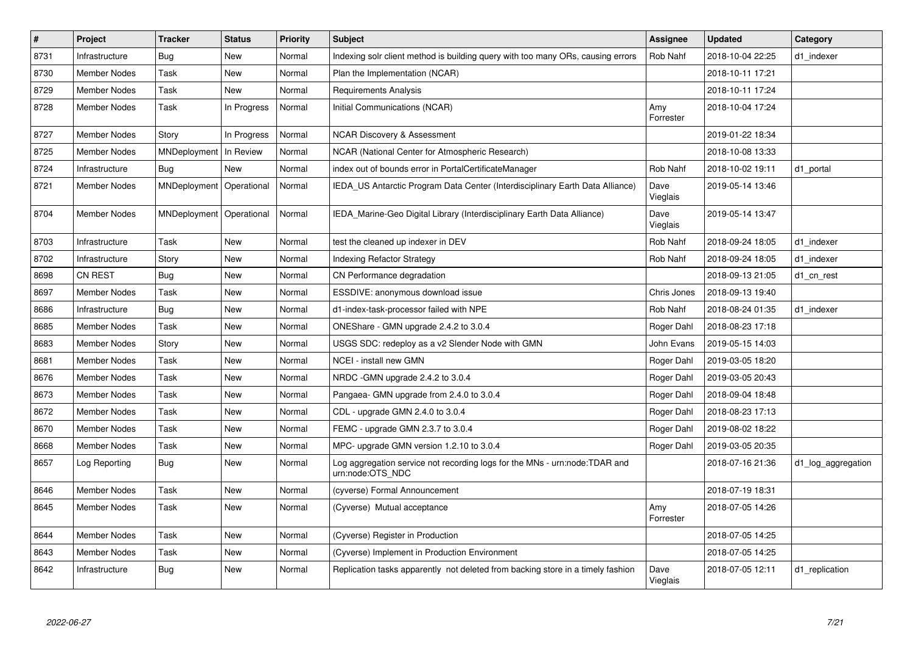| $\vert$ # | <b>Project</b>      | <b>Tracker</b>             | <b>Status</b> | <b>Priority</b> | <b>Subject</b>                                                                                 | Assignee         | <b>Updated</b>   | Category           |
|-----------|---------------------|----------------------------|---------------|-----------------|------------------------------------------------------------------------------------------------|------------------|------------------|--------------------|
| 8731      | Infrastructure      | Bug                        | <b>New</b>    | Normal          | Indexing solr client method is building query with too many ORs, causing errors                | Rob Nahf         | 2018-10-04 22:25 | d1_indexer         |
| 8730      | <b>Member Nodes</b> | Task                       | <b>New</b>    | Normal          | Plan the Implementation (NCAR)                                                                 |                  | 2018-10-11 17:21 |                    |
| 8729      | <b>Member Nodes</b> | Task                       | <b>New</b>    | Normal          | <b>Requirements Analysis</b>                                                                   |                  | 2018-10-11 17:24 |                    |
| 8728      | Member Nodes        | Task                       | In Progress   | Normal          | Initial Communications (NCAR)                                                                  | Amy<br>Forrester | 2018-10-04 17:24 |                    |
| 8727      | Member Nodes        | Story                      | In Progress   | Normal          | <b>NCAR Discovery &amp; Assessment</b>                                                         |                  | 2019-01-22 18:34 |                    |
| 8725      | Member Nodes        | MNDeployment               | In Review     | Normal          | NCAR (National Center for Atmospheric Research)                                                |                  | 2018-10-08 13:33 |                    |
| 8724      | Infrastructure      | <b>Bug</b>                 | <b>New</b>    | Normal          | index out of bounds error in PortalCertificateManager                                          | Rob Nahf         | 2018-10-02 19:11 | d1 portal          |
| 8721      | <b>Member Nodes</b> | MNDeployment   Operational |               | Normal          | IEDA US Antarctic Program Data Center (Interdisciplinary Earth Data Alliance)                  | Dave<br>Vieglais | 2019-05-14 13:46 |                    |
| 8704      | <b>Member Nodes</b> | MNDeployment   Operational |               | Normal          | IEDA Marine-Geo Digital Library (Interdisciplinary Earth Data Alliance)                        | Dave<br>Vieglais | 2019-05-14 13:47 |                    |
| 8703      | Infrastructure      | Task                       | <b>New</b>    | Normal          | test the cleaned up indexer in DEV                                                             | Rob Nahf         | 2018-09-24 18:05 | d1 indexer         |
| 8702      | Infrastructure      | Story                      | <b>New</b>    | Normal          | Indexing Refactor Strategy                                                                     | Rob Nahf         | 2018-09-24 18:05 | d1 indexer         |
| 8698      | <b>CN REST</b>      | Bug                        | <b>New</b>    | Normal          | CN Performance degradation                                                                     |                  | 2018-09-13 21:05 | d1 cn rest         |
| 8697      | Member Nodes        | Task                       | <b>New</b>    | Normal          | ESSDIVE: anonymous download issue                                                              | Chris Jones      | 2018-09-13 19:40 |                    |
| 8686      | Infrastructure      | <b>Bug</b>                 | <b>New</b>    | Normal          | d1-index-task-processor failed with NPE                                                        | Rob Nahf         | 2018-08-24 01:35 | d1 indexer         |
| 8685      | <b>Member Nodes</b> | Task                       | <b>New</b>    | Normal          | ONEShare - GMN upgrade 2.4.2 to 3.0.4                                                          | Roger Dahl       | 2018-08-23 17:18 |                    |
| 8683      | <b>Member Nodes</b> | Story                      | <b>New</b>    | Normal          | USGS SDC: redeploy as a v2 Slender Node with GMN                                               | John Evans       | 2019-05-15 14:03 |                    |
| 8681      | Member Nodes        | Task                       | <b>New</b>    | Normal          | NCEI - install new GMN                                                                         | Roger Dahl       | 2019-03-05 18:20 |                    |
| 8676      | <b>Member Nodes</b> | Task                       | <b>New</b>    | Normal          | NRDC - GMN upgrade 2.4.2 to 3.0.4                                                              | Roger Dahl       | 2019-03-05 20:43 |                    |
| 8673      | <b>Member Nodes</b> | Task                       | <b>New</b>    | Normal          | Pangaea- GMN upgrade from 2.4.0 to 3.0.4                                                       | Roger Dahl       | 2018-09-04 18:48 |                    |
| 8672      | Member Nodes        | Task                       | <b>New</b>    | Normal          | CDL - upgrade GMN 2.4.0 to 3.0.4                                                               | Roger Dahl       | 2018-08-23 17:13 |                    |
| 8670      | <b>Member Nodes</b> | Task                       | <b>New</b>    | Normal          | FEMC - upgrade GMN 2.3.7 to 3.0.4                                                              | Roger Dahl       | 2019-08-02 18:22 |                    |
| 8668      | <b>Member Nodes</b> | Task                       | <b>New</b>    | Normal          | MPC- upgrade GMN version 1.2.10 to 3.0.4                                                       | Roger Dahl       | 2019-03-05 20:35 |                    |
| 8657      | Log Reporting       | <b>Bug</b>                 | New           | Normal          | Log aggregation service not recording logs for the MNs - urn:node:TDAR and<br>urn:node:OTS_NDC |                  | 2018-07-16 21:36 | d1_log_aggregation |
| 8646      | <b>Member Nodes</b> | Task                       | <b>New</b>    | Normal          | (cyverse) Formal Announcement                                                                  |                  | 2018-07-19 18:31 |                    |
| 8645      | Member Nodes        | Task                       | <b>New</b>    | Normal          | (Cyverse) Mutual acceptance                                                                    | Amy<br>Forrester | 2018-07-05 14:26 |                    |
| 8644      | <b>Member Nodes</b> | Task                       | <b>New</b>    | Normal          | (Cyverse) Register in Production                                                               |                  | 2018-07-05 14:25 |                    |
| 8643      | Member Nodes        | Task                       | <b>New</b>    | Normal          | (Cyverse) Implement in Production Environment                                                  |                  | 2018-07-05 14:25 |                    |
| 8642      | Infrastructure      | Bug                        | <b>New</b>    | Normal          | Replication tasks apparently not deleted from backing store in a timely fashion                | Dave<br>Vieglais | 2018-07-05 12:11 | d1 replication     |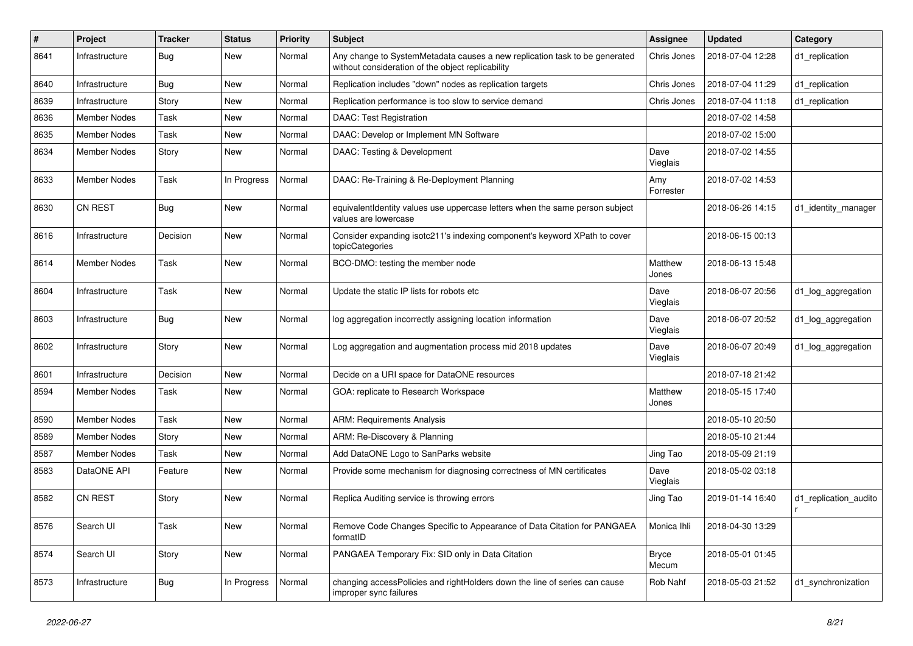| #    | Project             | <b>Tracker</b> | <b>Status</b> | <b>Priority</b> | Subject                                                                                                                         | <b>Assignee</b>       | <b>Updated</b>   | Category              |
|------|---------------------|----------------|---------------|-----------------|---------------------------------------------------------------------------------------------------------------------------------|-----------------------|------------------|-----------------------|
| 8641 | Infrastructure      | <b>Bug</b>     | New           | Normal          | Any change to SystemMetadata causes a new replication task to be generated<br>without consideration of the object replicability | Chris Jones           | 2018-07-04 12:28 | d1_replication        |
| 8640 | Infrastructure      | Bug            | New           | Normal          | Replication includes "down" nodes as replication targets                                                                        | Chris Jones           | 2018-07-04 11:29 | d1 replication        |
| 8639 | Infrastructure      | Story          | New           | Normal          | Replication performance is too slow to service demand                                                                           | Chris Jones           | 2018-07-04 11:18 | d1_replication        |
| 8636 | <b>Member Nodes</b> | Task           | <b>New</b>    | Normal          | DAAC: Test Registration                                                                                                         |                       | 2018-07-02 14:58 |                       |
| 8635 | <b>Member Nodes</b> | Task           | New           | Normal          | DAAC: Develop or Implement MN Software                                                                                          |                       | 2018-07-02 15:00 |                       |
| 8634 | <b>Member Nodes</b> | Story          | New           | Normal          | DAAC: Testing & Development                                                                                                     | Dave<br>Vieglais      | 2018-07-02 14:55 |                       |
| 8633 | <b>Member Nodes</b> | Task           | In Progress   | Normal          | DAAC: Re-Training & Re-Deployment Planning                                                                                      | Amy<br>Forrester      | 2018-07-02 14:53 |                       |
| 8630 | <b>CN REST</b>      | Bug            | New           | Normal          | equivalentIdentity values use uppercase letters when the same person subject<br>values are lowercase                            |                       | 2018-06-26 14:15 | d1_identity_manager   |
| 8616 | Infrastructure      | Decision       | <b>New</b>    | Normal          | Consider expanding isotc211's indexing component's keyword XPath to cover<br>topicCategories                                    |                       | 2018-06-15 00:13 |                       |
| 8614 | <b>Member Nodes</b> | Task           | New           | Normal          | BCO-DMO: testing the member node                                                                                                | Matthew<br>Jones      | 2018-06-13 15:48 |                       |
| 8604 | Infrastructure      | Task           | New           | Normal          | Update the static IP lists for robots etc                                                                                       | Dave<br>Vieglais      | 2018-06-07 20:56 | d1_log_aggregation    |
| 8603 | Infrastructure      | Bug            | New           | Normal          | log aggregation incorrectly assigning location information                                                                      | Dave<br>Vieglais      | 2018-06-07 20:52 | d1_log_aggregation    |
| 8602 | Infrastructure      | Story          | New           | Normal          | Log aggregation and augmentation process mid 2018 updates                                                                       | Dave<br>Vieglais      | 2018-06-07 20:49 | d1_log_aggregation    |
| 8601 | Infrastructure      | Decision       | <b>New</b>    | Normal          | Decide on a URI space for DataONE resources                                                                                     |                       | 2018-07-18 21:42 |                       |
| 8594 | <b>Member Nodes</b> | Task           | New           | Normal          | GOA: replicate to Research Workspace                                                                                            | Matthew<br>Jones      | 2018-05-15 17:40 |                       |
| 8590 | <b>Member Nodes</b> | Task           | <b>New</b>    | Normal          | <b>ARM: Requirements Analysis</b>                                                                                               |                       | 2018-05-10 20:50 |                       |
| 8589 | <b>Member Nodes</b> | Story          | <b>New</b>    | Normal          | ARM: Re-Discovery & Planning                                                                                                    |                       | 2018-05-10 21:44 |                       |
| 8587 | <b>Member Nodes</b> | Task           | New           | Normal          | Add DataONE Logo to SanParks website                                                                                            | Jing Tao              | 2018-05-09 21:19 |                       |
| 8583 | DataONE API         | Feature        | New           | Normal          | Provide some mechanism for diagnosing correctness of MN certificates                                                            | Dave<br>Vieglais      | 2018-05-02 03:18 |                       |
| 8582 | <b>CN REST</b>      | Story          | New           | Normal          | Replica Auditing service is throwing errors                                                                                     | Jing Tao              | 2019-01-14 16:40 | d1_replication_audito |
| 8576 | Search UI           | Task           | New           | Normal          | Remove Code Changes Specific to Appearance of Data Citation for PANGAEA<br>formatID                                             | Monica Ihli           | 2018-04-30 13:29 |                       |
| 8574 | Search UI           | Story          | New           | Normal          | PANGAEA Temporary Fix: SID only in Data Citation                                                                                | <b>Bryce</b><br>Mecum | 2018-05-01 01:45 |                       |
| 8573 | Infrastructure      | <b>Bug</b>     | In Progress   | Normal          | changing accessPolicies and rightHolders down the line of series can cause<br>improper sync failures                            | Rob Nahf              | 2018-05-03 21:52 | d1_synchronization    |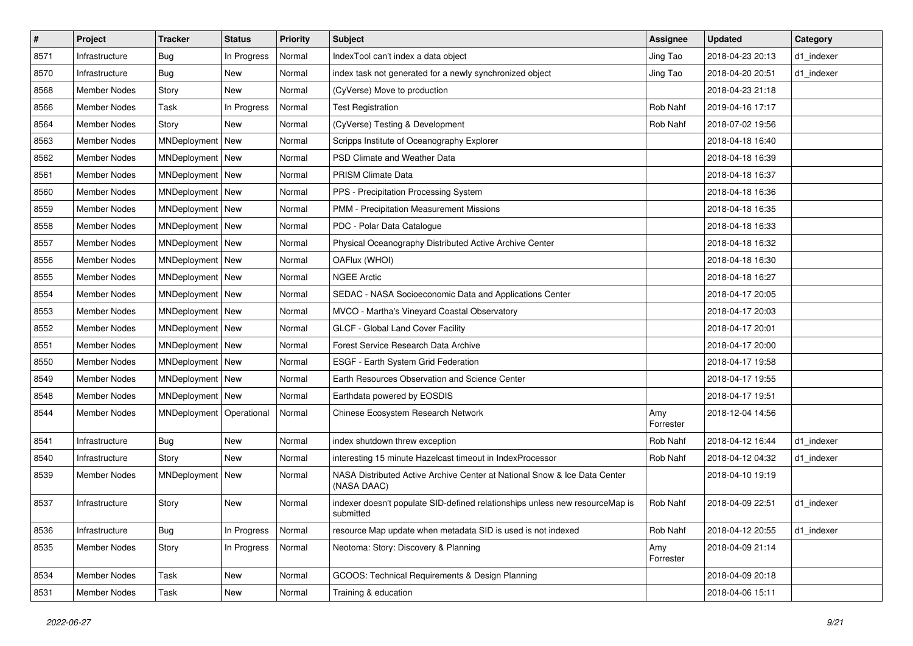| $\vert$ # | Project             | <b>Tracker</b>             | <b>Status</b> | <b>Priority</b> | <b>Subject</b>                                                                            | <b>Assignee</b>  | <b>Updated</b>   | Category   |
|-----------|---------------------|----------------------------|---------------|-----------------|-------------------------------------------------------------------------------------------|------------------|------------------|------------|
| 8571      | Infrastructure      | <b>Bug</b>                 | In Progress   | Normal          | IndexTool can't index a data object                                                       | Jing Tao         | 2018-04-23 20:13 | d1 indexer |
| 8570      | Infrastructure      | <b>Bug</b>                 | <b>New</b>    | Normal          | index task not generated for a newly synchronized object                                  | Jing Tao         | 2018-04-20 20:51 | d1_indexer |
| 8568      | <b>Member Nodes</b> | Story                      | New           | Normal          | (CyVerse) Move to production                                                              |                  | 2018-04-23 21:18 |            |
| 8566      | Member Nodes        | Task                       | In Progress   | Normal          | <b>Test Registration</b>                                                                  | Rob Nahf         | 2019-04-16 17:17 |            |
| 8564      | <b>Member Nodes</b> | Story                      | New           | Normal          | (CyVerse) Testing & Development                                                           | Rob Nahf         | 2018-07-02 19:56 |            |
| 8563      | <b>Member Nodes</b> | MNDeployment   New         |               | Normal          | Scripps Institute of Oceanography Explorer                                                |                  | 2018-04-18 16:40 |            |
| 8562      | <b>Member Nodes</b> | MNDeployment   New         |               | Normal          | PSD Climate and Weather Data                                                              |                  | 2018-04-18 16:39 |            |
| 8561      | <b>Member Nodes</b> | MNDeployment   New         |               | Normal          | PRISM Climate Data                                                                        |                  | 2018-04-18 16:37 |            |
| 8560      | Member Nodes        | MNDeployment   New         |               | Normal          | PPS - Precipitation Processing System                                                     |                  | 2018-04-18 16:36 |            |
| 8559      | Member Nodes        | MNDeployment New           |               | Normal          | PMM - Precipitation Measurement Missions                                                  |                  | 2018-04-18 16:35 |            |
| 8558      | <b>Member Nodes</b> | MNDeployment   New         |               | Normal          | PDC - Polar Data Catalogue                                                                |                  | 2018-04-18 16:33 |            |
| 8557      | Member Nodes        | MNDeployment   New         |               | Normal          | Physical Oceanography Distributed Active Archive Center                                   |                  | 2018-04-18 16:32 |            |
| 8556      | <b>Member Nodes</b> | MNDeployment   New         |               | Normal          | OAFlux (WHOI)                                                                             |                  | 2018-04-18 16:30 |            |
| 8555      | Member Nodes        | MNDeployment   New         |               | Normal          | <b>NGEE Arctic</b>                                                                        |                  | 2018-04-18 16:27 |            |
| 8554      | <b>Member Nodes</b> | MNDeployment   New         |               | Normal          | SEDAC - NASA Socioeconomic Data and Applications Center                                   |                  | 2018-04-17 20:05 |            |
| 8553      | Member Nodes        | MNDeployment   New         |               | Normal          | MVCO - Martha's Vineyard Coastal Observatory                                              |                  | 2018-04-17 20:03 |            |
| 8552      | Member Nodes        | MNDeployment   New         |               | Normal          | GLCF - Global Land Cover Facility                                                         |                  | 2018-04-17 20:01 |            |
| 8551      | <b>Member Nodes</b> | MNDeployment   New         |               | Normal          | Forest Service Research Data Archive                                                      |                  | 2018-04-17 20:00 |            |
| 8550      | Member Nodes        | MNDeployment   New         |               | Normal          | ESGF - Earth System Grid Federation                                                       |                  | 2018-04-17 19:58 |            |
| 8549      | <b>Member Nodes</b> | MNDeployment   New         |               | Normal          | Earth Resources Observation and Science Center                                            |                  | 2018-04-17 19:55 |            |
| 8548      | <b>Member Nodes</b> | MNDeployment   New         |               | Normal          | Earthdata powered by EOSDIS                                                               |                  | 2018-04-17 19:51 |            |
| 8544      | <b>Member Nodes</b> | MNDeployment   Operational |               | Normal          | Chinese Ecosystem Research Network                                                        | Amy<br>Forrester | 2018-12-04 14:56 |            |
| 8541      | Infrastructure      | Bug                        | New           | Normal          | index shutdown threw exception                                                            | Rob Nahf         | 2018-04-12 16:44 | d1 indexer |
| 8540      | Infrastructure      | Story                      | New           | Normal          | interesting 15 minute Hazelcast timeout in IndexProcessor                                 | Rob Nahf         | 2018-04-12 04:32 | d1 indexer |
| 8539      | Member Nodes        | MNDeployment New           |               | Normal          | NASA Distributed Active Archive Center at National Snow & Ice Data Center<br>(NASA DAAC)  |                  | 2018-04-10 19:19 |            |
| 8537      | Infrastructure      | Story                      | <b>New</b>    | Normal          | indexer doesn't populate SID-defined relationships unless new resourceMap is<br>submitted | Rob Nahf         | 2018-04-09 22:51 | d1_indexer |
| 8536      | Infrastructure      | Bug                        | In Progress   | Normal          | resource Map update when metadata SID is used is not indexed                              | Rob Nahf         | 2018-04-12 20:55 | d1_indexer |
| 8535      | <b>Member Nodes</b> | Story                      | In Progress   | Normal          | Neotoma: Story: Discovery & Planning                                                      | Amy<br>Forrester | 2018-04-09 21:14 |            |
| 8534      | Member Nodes        | Task                       | New           | Normal          | GCOOS: Technical Requirements & Design Planning                                           |                  | 2018-04-09 20:18 |            |
| 8531      | Member Nodes        | Task                       | New           | Normal          | Training & education                                                                      |                  | 2018-04-06 15:11 |            |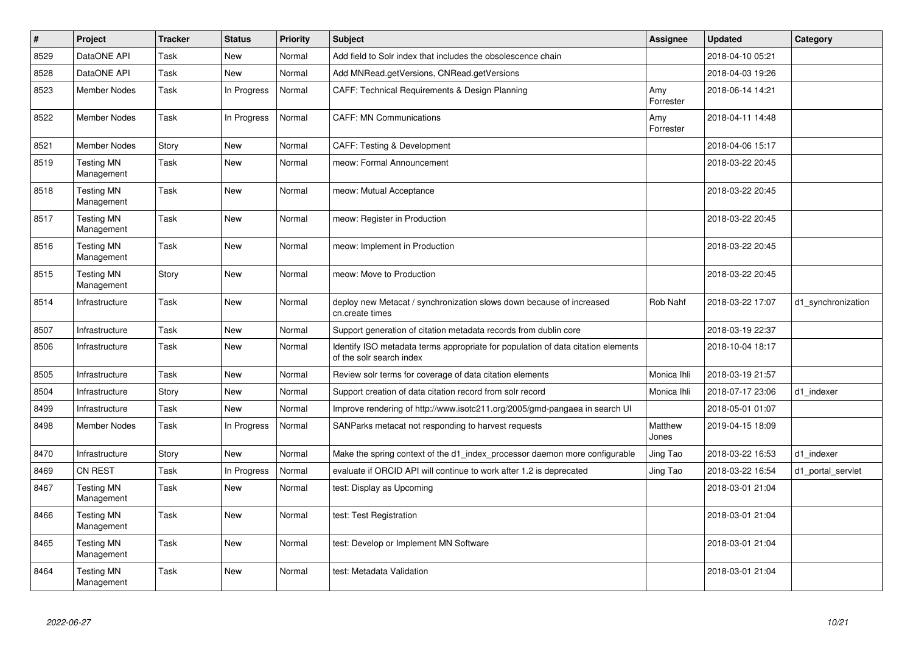| $\vert$ # | Project                         | <b>Tracker</b> | <b>Status</b> | <b>Priority</b> | <b>Subject</b>                                                                                               | Assignee         | <b>Updated</b>   | Category           |
|-----------|---------------------------------|----------------|---------------|-----------------|--------------------------------------------------------------------------------------------------------------|------------------|------------------|--------------------|
| 8529      | DataONE API                     | Task           | <b>New</b>    | Normal          | Add field to Solr index that includes the obsolescence chain                                                 |                  | 2018-04-10 05:21 |                    |
| 8528      | DataONE API                     | Task           | <b>New</b>    | Normal          | Add MNRead.getVersions, CNRead.getVersions                                                                   |                  | 2018-04-03 19:26 |                    |
| 8523      | <b>Member Nodes</b>             | Task           | In Progress   | Normal          | CAFF: Technical Requirements & Design Planning                                                               | Amy<br>Forrester | 2018-06-14 14:21 |                    |
| 8522      | <b>Member Nodes</b>             | Task           | In Progress   | Normal          | <b>CAFF: MN Communications</b>                                                                               | Amy<br>Forrester | 2018-04-11 14:48 |                    |
| 8521      | <b>Member Nodes</b>             | Story          | New           | Normal          | CAFF: Testing & Development                                                                                  |                  | 2018-04-06 15:17 |                    |
| 8519      | <b>Testing MN</b><br>Management | Task           | New           | Normal          | meow: Formal Announcement                                                                                    |                  | 2018-03-22 20:45 |                    |
| 8518      | <b>Testing MN</b><br>Management | Task           | New           | Normal          | meow: Mutual Acceptance                                                                                      |                  | 2018-03-22 20:45 |                    |
| 8517      | <b>Testing MN</b><br>Management | Task           | New           | Normal          | meow: Register in Production                                                                                 |                  | 2018-03-22 20:45 |                    |
| 8516      | <b>Testing MN</b><br>Management | Task           | <b>New</b>    | Normal          | meow: Implement in Production                                                                                |                  | 2018-03-22 20:45 |                    |
| 8515      | <b>Testing MN</b><br>Management | Story          | <b>New</b>    | Normal          | meow: Move to Production                                                                                     |                  | 2018-03-22 20:45 |                    |
| 8514      | Infrastructure                  | Task           | <b>New</b>    | Normal          | deploy new Metacat / synchronization slows down because of increased<br>cn.create times                      | Rob Nahf         | 2018-03-22 17:07 | d1_synchronization |
| 8507      | Infrastructure                  | Task           | <b>New</b>    | Normal          | Support generation of citation metadata records from dublin core                                             |                  | 2018-03-19 22:37 |                    |
| 8506      | Infrastructure                  | Task           | <b>New</b>    | Normal          | Identify ISO metadata terms appropriate for population of data citation elements<br>of the solr search index |                  | 2018-10-04 18:17 |                    |
| 8505      | Infrastructure                  | Task           | <b>New</b>    | Normal          | Review solr terms for coverage of data citation elements                                                     | Monica Ihli      | 2018-03-19 21:57 |                    |
| 8504      | Infrastructure                  | Story          | <b>New</b>    | Normal          | Support creation of data citation record from solr record                                                    | Monica Ihli      | 2018-07-17 23:06 | d1 indexer         |
| 8499      | Infrastructure                  | Task           | <b>New</b>    | Normal          | Improve rendering of http://www.isotc211.org/2005/gmd-pangaea in search UI                                   |                  | 2018-05-01 01:07 |                    |
| 8498      | <b>Member Nodes</b>             | Task           | In Progress   | Normal          | SANParks metacat not responding to harvest requests                                                          | Matthew<br>Jones | 2019-04-15 18:09 |                    |
| 8470      | Infrastructure                  | Story          | <b>New</b>    | Normal          | Make the spring context of the d1_index_processor daemon more configurable                                   | Jing Tao         | 2018-03-22 16:53 | d1_indexer         |
| 8469      | CN REST                         | Task           | In Progress   | Normal          | evaluate if ORCID API will continue to work after 1.2 is deprecated                                          | Jing Tao         | 2018-03-22 16:54 | d1 portal servlet  |
| 8467      | <b>Testing MN</b><br>Management | Task           | <b>New</b>    | Normal          | test: Display as Upcoming                                                                                    |                  | 2018-03-01 21:04 |                    |
| 8466      | <b>Testing MN</b><br>Management | Task           | <b>New</b>    | Normal          | test: Test Registration                                                                                      |                  | 2018-03-01 21:04 |                    |
| 8465      | <b>Testing MN</b><br>Management | Task           | <b>New</b>    | Normal          | test: Develop or Implement MN Software                                                                       |                  | 2018-03-01 21:04 |                    |
| 8464      | <b>Testing MN</b><br>Management | Task           | <b>New</b>    | Normal          | test: Metadata Validation                                                                                    |                  | 2018-03-01 21:04 |                    |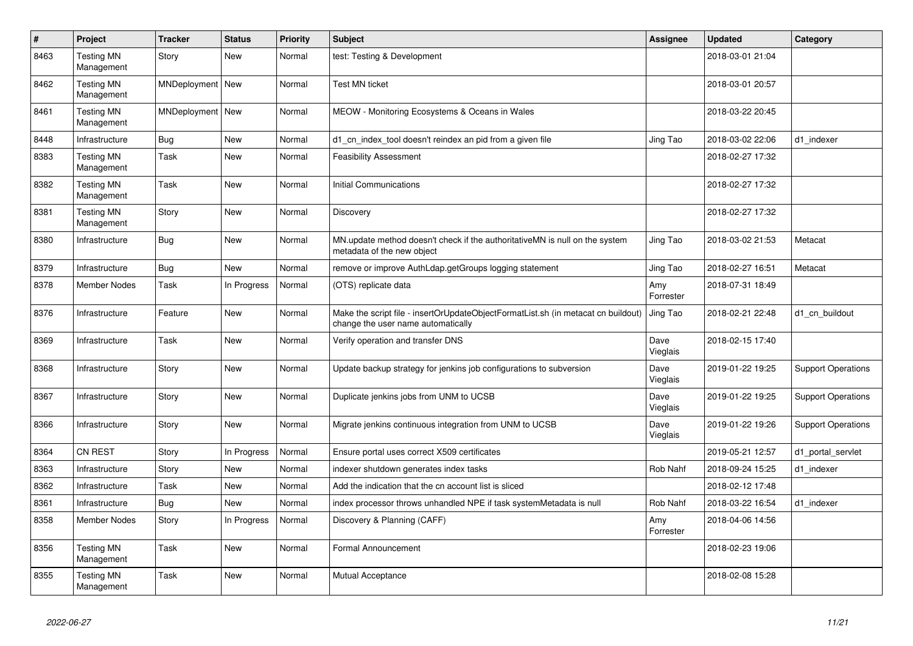| $\vert$ # | Project                         | <b>Tracker</b>     | <b>Status</b> | <b>Priority</b> | <b>Subject</b>                                                                                                          | <b>Assignee</b>  | <b>Updated</b>   | Category                  |
|-----------|---------------------------------|--------------------|---------------|-----------------|-------------------------------------------------------------------------------------------------------------------------|------------------|------------------|---------------------------|
| 8463      | <b>Testing MN</b><br>Management | Story              | <b>New</b>    | Normal          | test: Testing & Development                                                                                             |                  | 2018-03-01 21:04 |                           |
| 8462      | <b>Testing MN</b><br>Management | MNDeployment   New |               | Normal          | <b>Test MN ticket</b>                                                                                                   |                  | 2018-03-01 20:57 |                           |
| 8461      | <b>Testing MN</b><br>Management | MNDeployment   New |               | Normal          | MEOW - Monitoring Ecosystems & Oceans in Wales                                                                          |                  | 2018-03-22 20:45 |                           |
| 8448      | Infrastructure                  | <b>Bug</b>         | <b>New</b>    | Normal          | d1 cn index tool doesn't reindex an pid from a given file                                                               | Jing Tao         | 2018-03-02 22:06 | d1 indexer                |
| 8383      | <b>Testing MN</b><br>Management | Task               | New           | Normal          | <b>Feasibility Assessment</b>                                                                                           |                  | 2018-02-27 17:32 |                           |
| 8382      | <b>Testing MN</b><br>Management | Task               | <b>New</b>    | Normal          | <b>Initial Communications</b>                                                                                           |                  | 2018-02-27 17:32 |                           |
| 8381      | <b>Testing MN</b><br>Management | Story              | <b>New</b>    | Normal          | Discovery                                                                                                               |                  | 2018-02-27 17:32 |                           |
| 8380      | Infrastructure                  | <b>Bug</b>         | <b>New</b>    | Normal          | MN.update method doesn't check if the authoritativeMN is null on the system<br>metadata of the new object               | Jing Tao         | 2018-03-02 21:53 | Metacat                   |
| 8379      | Infrastructure                  | <b>Bug</b>         | New           | Normal          | remove or improve AuthLdap.getGroups logging statement                                                                  | Jing Tao         | 2018-02-27 16:51 | Metacat                   |
| 8378      | <b>Member Nodes</b>             | Task               | In Progress   | Normal          | (OTS) replicate data                                                                                                    | Amy<br>Forrester | 2018-07-31 18:49 |                           |
| 8376      | Infrastructure                  | Feature            | New           | Normal          | Make the script file - insertOrUpdateObjectFormatList.sh (in metacat cn buildout)<br>change the user name automatically | Jing Tao         | 2018-02-21 22:48 | d1_cn_buildout            |
| 8369      | Infrastructure                  | Task               | <b>New</b>    | Normal          | Verify operation and transfer DNS                                                                                       | Dave<br>Vieglais | 2018-02-15 17:40 |                           |
| 8368      | Infrastructure                  | Story              | <b>New</b>    | Normal          | Update backup strategy for jenkins job configurations to subversion                                                     | Dave<br>Vieglais | 2019-01-22 19:25 | <b>Support Operations</b> |
| 8367      | Infrastructure                  | Story              | <b>New</b>    | Normal          | Duplicate jenkins jobs from UNM to UCSB                                                                                 | Dave<br>Vieglais | 2019-01-22 19:25 | <b>Support Operations</b> |
| 8366      | Infrastructure                  | Story              | New           | Normal          | Migrate jenkins continuous integration from UNM to UCSB                                                                 | Dave<br>Vieglais | 2019-01-22 19:26 | <b>Support Operations</b> |
| 8364      | <b>CN REST</b>                  | Story              | In Progress   | Normal          | Ensure portal uses correct X509 certificates                                                                            |                  | 2019-05-21 12:57 | d1_portal_servlet         |
| 8363      | Infrastructure                  | Story              | New           | Normal          | indexer shutdown generates index tasks                                                                                  | Rob Nahf         | 2018-09-24 15:25 | d1 indexer                |
| 8362      | Infrastructure                  | Task               | New           | Normal          | Add the indication that the cn account list is sliced                                                                   |                  | 2018-02-12 17:48 |                           |
| 8361      | Infrastructure                  | <b>Bug</b>         | <b>New</b>    | Normal          | index processor throws unhandled NPE if task systemMetadata is null                                                     | Rob Nahf         | 2018-03-22 16:54 | d1 indexer                |
| 8358      | <b>Member Nodes</b>             | Story              | In Progress   | Normal          | Discovery & Planning (CAFF)                                                                                             | Amy<br>Forrester | 2018-04-06 14:56 |                           |
| 8356      | <b>Testing MN</b><br>Management | Task               | New           | Normal          | Formal Announcement                                                                                                     |                  | 2018-02-23 19:06 |                           |
| 8355      | <b>Testing MN</b><br>Management | Task               | <b>New</b>    | Normal          | Mutual Acceptance                                                                                                       |                  | 2018-02-08 15:28 |                           |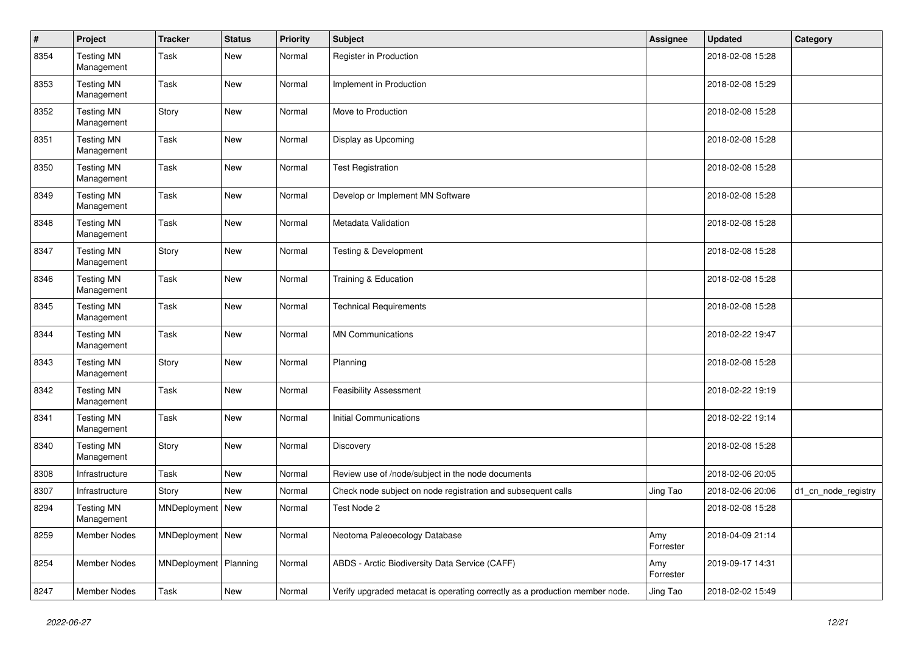| $\pmb{\#}$ | Project                         | <b>Tracker</b>          | <b>Status</b> | <b>Priority</b> | <b>Subject</b>                                                              | <b>Assignee</b>  | <b>Updated</b>   | Category            |
|------------|---------------------------------|-------------------------|---------------|-----------------|-----------------------------------------------------------------------------|------------------|------------------|---------------------|
| 8354       | <b>Testing MN</b><br>Management | Task                    | New           | Normal          | Register in Production                                                      |                  | 2018-02-08 15:28 |                     |
| 8353       | <b>Testing MN</b><br>Management | Task                    | <b>New</b>    | Normal          | Implement in Production                                                     |                  | 2018-02-08 15:29 |                     |
| 8352       | <b>Testing MN</b><br>Management | Story                   | New           | Normal          | Move to Production                                                          |                  | 2018-02-08 15:28 |                     |
| 8351       | <b>Testing MN</b><br>Management | Task                    | <b>New</b>    | Normal          | Display as Upcoming                                                         |                  | 2018-02-08 15:28 |                     |
| 8350       | <b>Testing MN</b><br>Management | Task                    | <b>New</b>    | Normal          | <b>Test Registration</b>                                                    |                  | 2018-02-08 15:28 |                     |
| 8349       | <b>Testing MN</b><br>Management | Task                    | <b>New</b>    | Normal          | Develop or Implement MN Software                                            |                  | 2018-02-08 15:28 |                     |
| 8348       | <b>Testing MN</b><br>Management | Task                    | New           | Normal          | Metadata Validation                                                         |                  | 2018-02-08 15:28 |                     |
| 8347       | <b>Testing MN</b><br>Management | Story                   | New           | Normal          | <b>Testing &amp; Development</b>                                            |                  | 2018-02-08 15:28 |                     |
| 8346       | <b>Testing MN</b><br>Management | Task                    | New           | Normal          | Training & Education                                                        |                  | 2018-02-08 15:28 |                     |
| 8345       | <b>Testing MN</b><br>Management | Task                    | New           | Normal          | <b>Technical Requirements</b>                                               |                  | 2018-02-08 15:28 |                     |
| 8344       | <b>Testing MN</b><br>Management | Task                    | <b>New</b>    | Normal          | <b>MN Communications</b>                                                    |                  | 2018-02-22 19:47 |                     |
| 8343       | <b>Testing MN</b><br>Management | Story                   | <b>New</b>    | Normal          | Planning                                                                    |                  | 2018-02-08 15:28 |                     |
| 8342       | <b>Testing MN</b><br>Management | Task                    | New           | Normal          | <b>Feasibility Assessment</b>                                               |                  | 2018-02-22 19:19 |                     |
| 8341       | <b>Testing MN</b><br>Management | Task                    | <b>New</b>    | Normal          | <b>Initial Communications</b>                                               |                  | 2018-02-22 19:14 |                     |
| 8340       | <b>Testing MN</b><br>Management | Story                   | <b>New</b>    | Normal          | Discovery                                                                   |                  | 2018-02-08 15:28 |                     |
| 8308       | Infrastructure                  | Task                    | New           | Normal          | Review use of /node/subject in the node documents                           |                  | 2018-02-06 20:05 |                     |
| 8307       | Infrastructure                  | Story                   | New           | Normal          | Check node subject on node registration and subsequent calls                | Jing Tao         | 2018-02-06 20:06 | d1_cn_node_registry |
| 8294       | <b>Testing MN</b><br>Management | MNDeployment   New      |               | Normal          | Test Node 2                                                                 |                  | 2018-02-08 15:28 |                     |
| 8259       | Member Nodes                    | MNDeployment   New      |               | Normal          | Neotoma Paleoecology Database                                               | Amy<br>Forrester | 2018-04-09 21:14 |                     |
| 8254       | Member Nodes                    | MNDeployment   Planning |               | Normal          | ABDS - Arctic Biodiversity Data Service (CAFF)                              | Amy<br>Forrester | 2019-09-17 14:31 |                     |
| 8247       | Member Nodes                    | Task                    | New           | Normal          | Verify upgraded metacat is operating correctly as a production member node. | Jing Tao         | 2018-02-02 15:49 |                     |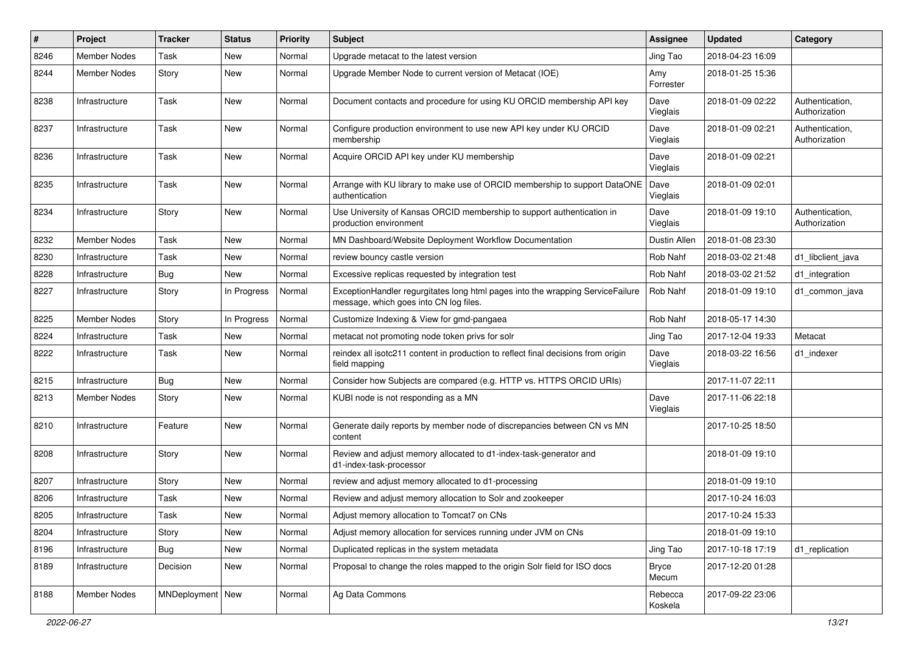| #    | Project             | <b>Tracker</b>     | <b>Status</b> | <b>Priority</b> | Subject                                                                                                                  | <b>Assignee</b>    | <b>Updated</b>   | Category                         |
|------|---------------------|--------------------|---------------|-----------------|--------------------------------------------------------------------------------------------------------------------------|--------------------|------------------|----------------------------------|
| 8246 | <b>Member Nodes</b> | Task               | New           | Normal          | Upgrade metacat to the latest version                                                                                    | Jing Tao           | 2018-04-23 16:09 |                                  |
| 8244 | <b>Member Nodes</b> | Story              | <b>New</b>    | Normal          | Upgrade Member Node to current version of Metacat (IOE)                                                                  | Amy<br>Forrester   | 2018-01-25 15:36 |                                  |
| 8238 | Infrastructure      | Task               | New           | Normal          | Document contacts and procedure for using KU ORCID membership API key                                                    | Dave<br>Vieglais   | 2018-01-09 02:22 | Authentication,<br>Authorization |
| 8237 | Infrastructure      | Task               | <b>New</b>    | Normal          | Configure production environment to use new API key under KU ORCID<br>membership                                         | Dave<br>Vieglais   | 2018-01-09 02:21 | Authentication,<br>Authorization |
| 8236 | Infrastructure      | Task               | <b>New</b>    | Normal          | Acquire ORCID API key under KU membership                                                                                | Dave<br>Vieglais   | 2018-01-09 02:21 |                                  |
| 8235 | Infrastructure      | Task               | New           | Normal          | Arrange with KU library to make use of ORCID membership to support DataONE<br>authentication                             | Dave<br>Vieglais   | 2018-01-09 02:01 |                                  |
| 8234 | Infrastructure      | Story              | New           | Normal          | Use University of Kansas ORCID membership to support authentication in<br>production environment                         | Dave<br>Vieglais   | 2018-01-09 19:10 | Authentication,<br>Authorization |
| 8232 | Member Nodes        | Task               | New           | Normal          | MN Dashboard/Website Deployment Workflow Documentation                                                                   | Dustin Allen       | 2018-01-08 23:30 |                                  |
| 8230 | Infrastructure      | Task               | New           | Normal          | review bouncy castle version                                                                                             | Rob Nahf           | 2018-03-02 21:48 | d1_libclient_java                |
| 8228 | Infrastructure      | Bug                | <b>New</b>    | Normal          | Excessive replicas requested by integration test                                                                         | Rob Nahf           | 2018-03-02 21:52 | d1_integration                   |
| 8227 | Infrastructure      | Story              | In Progress   | Normal          | ExceptionHandler regurgitates long html pages into the wrapping ServiceFailure<br>message, which goes into CN log files. | Rob Nahf           | 2018-01-09 19:10 | d1 common java                   |
| 8225 | <b>Member Nodes</b> | Story              | In Progress   | Normal          | Customize Indexing & View for gmd-pangaea                                                                                | Rob Nahf           | 2018-05-17 14:30 |                                  |
| 8224 | Infrastructure      | Task               | New           | Normal          | metacat not promoting node token privs for solr                                                                          | Jing Tao           | 2017-12-04 19:33 | Metacat                          |
| 8222 | Infrastructure      | Task               | <b>New</b>    | Normal          | reindex all isotc211 content in production to reflect final decisions from origin<br>field mapping                       | Dave<br>Vieglais   | 2018-03-22 16:56 | d1 indexer                       |
| 8215 | Infrastructure      | Bug                | New           | Normal          | Consider how Subjects are compared (e.g. HTTP vs. HTTPS ORCID URIs)                                                      |                    | 2017-11-07 22:11 |                                  |
| 8213 | Member Nodes        | Story              | <b>New</b>    | Normal          | KUBI node is not responding as a MN                                                                                      | Dave<br>Vieglais   | 2017-11-06 22:18 |                                  |
| 8210 | Infrastructure      | Feature            | New           | Normal          | Generate daily reports by member node of discrepancies between CN vs MN<br>content                                       |                    | 2017-10-25 18:50 |                                  |
| 8208 | Infrastructure      | Story              | New           | Normal          | Review and adjust memory allocated to d1-index-task-generator and<br>d1-index-task-processor                             |                    | 2018-01-09 19:10 |                                  |
| 8207 | Infrastructure      | Story              | New           | Normal          | review and adjust memory allocated to d1-processing                                                                      |                    | 2018-01-09 19:10 |                                  |
| 8206 | Infrastructure      | Task               | New           | Normal          | Review and adjust memory allocation to Solr and zookeeper                                                                |                    | 2017-10-24 16:03 |                                  |
| 8205 | Infrastructure      | Task               | New           | Normal          | Adjust memory allocation to Tomcat7 on CNs                                                                               |                    | 2017-10-24 15:33 |                                  |
| 8204 | Infrastructure      | Story              | New           | Normal          | Adjust memory allocation for services running under JVM on CNs                                                           |                    | 2018-01-09 19:10 |                                  |
| 8196 | Infrastructure      | <b>Bug</b>         | New           | Normal          | Duplicated replicas in the system metadata                                                                               | Jing Tao           | 2017-10-18 17:19 | d1_replication                   |
| 8189 | Infrastructure      | Decision           | New           | Normal          | Proposal to change the roles mapped to the origin Solr field for ISO docs                                                | Bryce<br>Mecum     | 2017-12-20 01:28 |                                  |
| 8188 | Member Nodes        | MNDeployment   New |               | Normal          | Ag Data Commons                                                                                                          | Rebecca<br>Koskela | 2017-09-22 23:06 |                                  |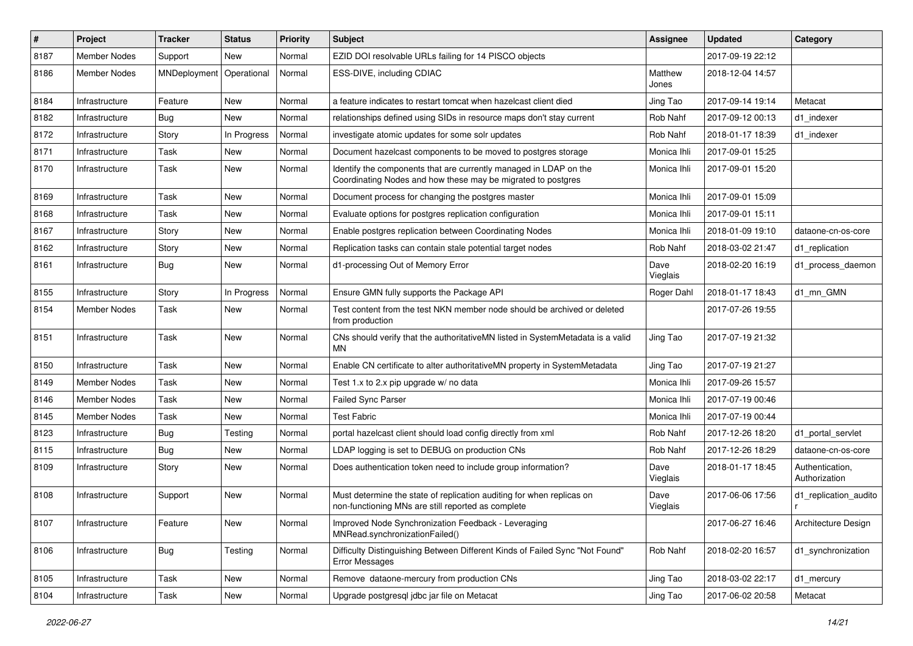| #    | <b>Project</b>      | <b>Tracker</b> | <b>Status</b> | <b>Priority</b> | Subject                                                                                                                           | <b>Assignee</b>  | <b>Updated</b>   | Category                         |
|------|---------------------|----------------|---------------|-----------------|-----------------------------------------------------------------------------------------------------------------------------------|------------------|------------------|----------------------------------|
| 8187 | <b>Member Nodes</b> | Support        | <b>New</b>    | Normal          | EZID DOI resolvable URLs failing for 14 PISCO objects                                                                             |                  | 2017-09-19 22:12 |                                  |
| 8186 | <b>Member Nodes</b> | MNDeployment   | Operational   | Normal          | ESS-DIVE, including CDIAC                                                                                                         | Matthew<br>Jones | 2018-12-04 14:57 |                                  |
| 8184 | Infrastructure      | Feature        | New           | Normal          | a feature indicates to restart tomcat when hazelcast client died                                                                  | Jing Tao         | 2017-09-14 19:14 | Metacat                          |
| 8182 | Infrastructure      | Bug            | <b>New</b>    | Normal          | relationships defined using SIDs in resource maps don't stay current                                                              | Rob Nahf         | 2017-09-12 00:13 | d1_indexer                       |
| 8172 | Infrastructure      | Story          | In Progress   | Normal          | investigate atomic updates for some solr updates                                                                                  | Rob Nahf         | 2018-01-17 18:39 | d1 indexer                       |
| 8171 | Infrastructure      | Task           | New           | Normal          | Document hazelcast components to be moved to postgres storage                                                                     | Monica Ihli      | 2017-09-01 15:25 |                                  |
| 8170 | Infrastructure      | Task           | New           | Normal          | Identify the components that are currently managed in LDAP on the<br>Coordinating Nodes and how these may be migrated to postgres | Monica Ihli      | 2017-09-01 15:20 |                                  |
| 8169 | Infrastructure      | Task           | New           | Normal          | Document process for changing the postgres master                                                                                 | Monica Ihli      | 2017-09-01 15:09 |                                  |
| 8168 | Infrastructure      | Task           | New           | Normal          | Evaluate options for postgres replication configuration                                                                           | Monica Ihli      | 2017-09-01 15:11 |                                  |
| 8167 | Infrastructure      | Story          | New           | Normal          | Enable postgres replication between Coordinating Nodes                                                                            | Monica Ihli      | 2018-01-09 19:10 | dataone-cn-os-core               |
| 8162 | Infrastructure      | Story          | New           | Normal          | Replication tasks can contain stale potential target nodes                                                                        | Rob Nahf         | 2018-03-02 21:47 | d1_replication                   |
| 8161 | Infrastructure      | Bug            | New           | Normal          | d1-processing Out of Memory Error                                                                                                 | Dave<br>Vieglais | 2018-02-20 16:19 | d1 process daemon                |
| 8155 | Infrastructure      | Story          | In Progress   | Normal          | Ensure GMN fully supports the Package API                                                                                         | Roger Dahl       | 2018-01-17 18:43 | d1 mn GMN                        |
| 8154 | Member Nodes        | Task           | New           | Normal          | Test content from the test NKN member node should be archived or deleted<br>from production                                       |                  | 2017-07-26 19:55 |                                  |
| 8151 | Infrastructure      | Task           | New           | Normal          | CNs should verify that the authoritativeMN listed in SystemMetadata is a valid<br>MΝ                                              | Jing Tao         | 2017-07-19 21:32 |                                  |
| 8150 | Infrastructure      | Task           | <b>New</b>    | Normal          | Enable CN certificate to alter authoritativeMN property in SystemMetadata                                                         | Jing Tao         | 2017-07-19 21:27 |                                  |
| 8149 | Member Nodes        | Task           | New           | Normal          | Test 1.x to 2.x pip upgrade w/ no data                                                                                            | Monica Ihli      | 2017-09-26 15:57 |                                  |
| 8146 | <b>Member Nodes</b> | Task           | New           | Normal          | Failed Sync Parser                                                                                                                | Monica Ihli      | 2017-07-19 00:46 |                                  |
| 8145 | <b>Member Nodes</b> | Task           | New           | Normal          | <b>Test Fabric</b>                                                                                                                | Monica Ihli      | 2017-07-19 00:44 |                                  |
| 8123 | Infrastructure      | Bug            | Testing       | Normal          | portal hazelcast client should load config directly from xml                                                                      | Rob Nahf         | 2017-12-26 18:20 | d1 portal servlet                |
| 8115 | Infrastructure      | <b>Bug</b>     | <b>New</b>    | Normal          | LDAP logging is set to DEBUG on production CNs                                                                                    | Rob Nahf         | 2017-12-26 18:29 | dataone-cn-os-core               |
| 8109 | Infrastructure      | Story          | New           | Normal          | Does authentication token need to include group information?                                                                      | Dave<br>Vieglais | 2018-01-17 18:45 | Authentication,<br>Authorization |
| 8108 | Infrastructure      | Support        | <b>New</b>    | Normal          | Must determine the state of replication auditing for when replicas on<br>non-functioning MNs are still reported as complete       | Dave<br>Vieglais | 2017-06-06 17:56 | d1_replication_audito            |
| 8107 | Infrastructure      | Feature        | New           | Normal          | Improved Node Synchronization Feedback - Leveraging<br>MNRead.synchronizationFailed()                                             |                  | 2017-06-27 16:46 | Architecture Design              |
| 8106 | Infrastructure      | <b>Bug</b>     | Testing       | Normal          | Difficulty Distinguishing Between Different Kinds of Failed Sync "Not Found"<br>Error Messages                                    | Rob Nahf         | 2018-02-20 16:57 | d1_synchronization               |
| 8105 | Infrastructure      | Task           | New           | Normal          | Remove dataone-mercury from production CNs                                                                                        | Jing Tao         | 2018-03-02 22:17 | d1 mercury                       |
| 8104 | Infrastructure      | Task           | New           | Normal          | Upgrade postgresql jdbc jar file on Metacat                                                                                       | Jing Tao         | 2017-06-02 20:58 | Metacat                          |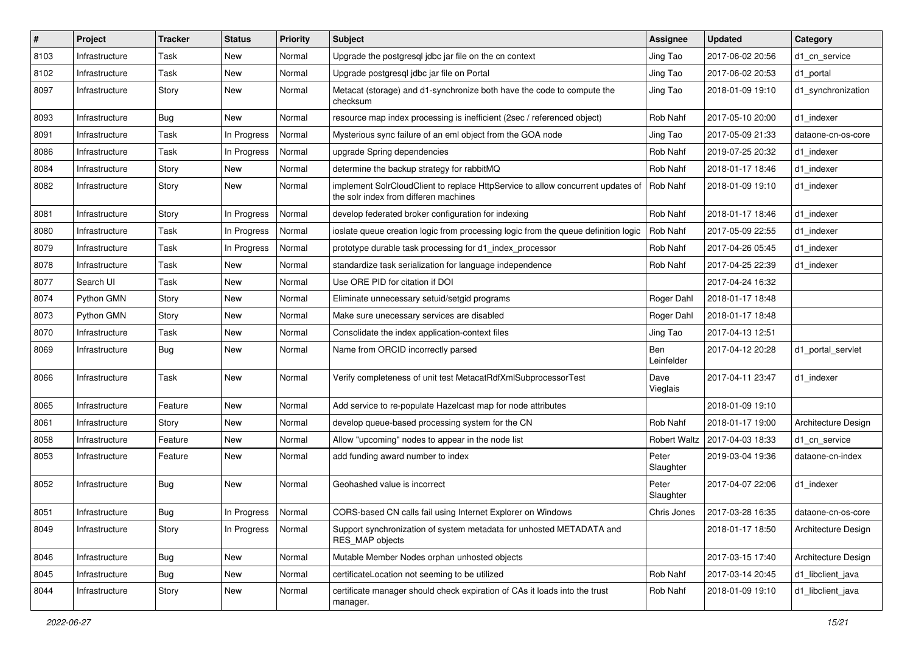| #    | <b>Project</b> | <b>Tracker</b> | <b>Status</b> | <b>Priority</b> | <b>Subject</b>                                                                                                           | <b>Assignee</b>     | <b>Updated</b>   | Category            |
|------|----------------|----------------|---------------|-----------------|--------------------------------------------------------------------------------------------------------------------------|---------------------|------------------|---------------------|
| 8103 | Infrastructure | Task           | New           | Normal          | Upgrade the postgresql jdbc jar file on the cn context                                                                   | Jing Tao            | 2017-06-02 20:56 | d1_cn_service       |
| 8102 | Infrastructure | Task           | New           | Normal          | Upgrade postgresql jdbc jar file on Portal                                                                               | Jing Tao            | 2017-06-02 20:53 | d1 portal           |
| 8097 | Infrastructure | Story          | New           | Normal          | Metacat (storage) and d1-synchronize both have the code to compute the<br>checksum                                       | Jing Tao            | 2018-01-09 19:10 | d1_synchronization  |
| 8093 | Infrastructure | <b>Bug</b>     | <b>New</b>    | Normal          | resource map index processing is inefficient (2sec / referenced object)                                                  | Rob Nahf            | 2017-05-10 20:00 | d1_indexer          |
| 8091 | Infrastructure | Task           | In Progress   | Normal          | Mysterious sync failure of an eml object from the GOA node                                                               | Jing Tao            | 2017-05-09 21:33 | dataone-cn-os-core  |
| 8086 | Infrastructure | Task           | In Progress   | Normal          | upgrade Spring dependencies                                                                                              | Rob Nahf            | 2019-07-25 20:32 | d1 indexer          |
| 8084 | Infrastructure | Story          | New           | Normal          | determine the backup strategy for rabbitMQ                                                                               | Rob Nahf            | 2018-01-17 18:46 | d1 indexer          |
| 8082 | Infrastructure | Story          | New           | Normal          | implement SolrCloudClient to replace HttpService to allow concurrent updates of<br>the solr index from differen machines | Rob Nahf            | 2018-01-09 19:10 | d1 indexer          |
| 8081 | Infrastructure | Story          | In Progress   | Normal          | develop federated broker configuration for indexing                                                                      | Rob Nahf            | 2018-01-17 18:46 | d1 indexer          |
| 8080 | Infrastructure | Task           | In Progress   | Normal          | ioslate queue creation logic from processing logic from the queue definition logic                                       | Rob Nahf            | 2017-05-09 22:55 | d1 indexer          |
| 8079 | Infrastructure | Task           | In Progress   | Normal          | prototype durable task processing for d1 index processor                                                                 | Rob Nahf            | 2017-04-26 05:45 | d1_indexer          |
| 8078 | Infrastructure | Task           | New           | Normal          | standardize task serialization for language independence                                                                 | Rob Nahf            | 2017-04-25 22:39 | d1 indexer          |
| 8077 | Search UI      | Task           | <b>New</b>    | Normal          | Use ORE PID for citation if DOI                                                                                          |                     | 2017-04-24 16:32 |                     |
| 8074 | Python GMN     | Story          | New           | Normal          | Eliminate unnecessary setuid/setgid programs                                                                             | Roger Dahl          | 2018-01-17 18:48 |                     |
| 8073 | Python GMN     | Story          | New           | Normal          | Make sure unecessary services are disabled                                                                               | Roger Dahl          | 2018-01-17 18:48 |                     |
| 8070 | Infrastructure | Task           | New           | Normal          | Consolidate the index application-context files                                                                          | Jing Tao            | 2017-04-13 12:51 |                     |
| 8069 | Infrastructure | <b>Bug</b>     | New           | Normal          | Name from ORCID incorrectly parsed                                                                                       | Ben<br>Leinfelder   | 2017-04-12 20:28 | d1_portal_servlet   |
| 8066 | Infrastructure | Task           | New           | Normal          | Verify completeness of unit test MetacatRdfXmlSubprocessorTest                                                           | Dave<br>Vieglais    | 2017-04-11 23:47 | d1 indexer          |
| 8065 | Infrastructure | Feature        | <b>New</b>    | Normal          | Add service to re-populate Hazelcast map for node attributes                                                             |                     | 2018-01-09 19:10 |                     |
| 8061 | Infrastructure | Story          | New           | Normal          | develop queue-based processing system for the CN                                                                         | Rob Nahf            | 2018-01-17 19:00 | Architecture Design |
| 8058 | Infrastructure | Feature        | New           | Normal          | Allow "upcoming" nodes to appear in the node list                                                                        | <b>Robert Waltz</b> | 2017-04-03 18:33 | d1_cn_service       |
| 8053 | Infrastructure | Feature        | New           | Normal          | add funding award number to index                                                                                        | Peter<br>Slaughter  | 2019-03-04 19:36 | dataone-cn-index    |
| 8052 | Infrastructure | Bug            | New           | Normal          | Geohashed value is incorrect                                                                                             | Peter<br>Slaughter  | 2017-04-07 22:06 | d1 indexer          |
| 8051 | Infrastructure | Bug            | In Progress   | Normal          | CORS-based CN calls fail using Internet Explorer on Windows                                                              | Chris Jones         | 2017-03-28 16:35 | dataone-cn-os-core  |
| 8049 | Infrastructure | Story          | In Progress   | Normal          | Support synchronization of system metadata for unhosted METADATA and<br>RES MAP objects                                  |                     | 2018-01-17 18:50 | Architecture Design |
| 8046 | Infrastructure | Bug            | New           | Normal          | Mutable Member Nodes orphan unhosted objects                                                                             |                     | 2017-03-15 17:40 | Architecture Design |
| 8045 | Infrastructure | Bug            | New           | Normal          | certificateLocation not seeming to be utilized                                                                           | Rob Nahf            | 2017-03-14 20:45 | d1_libclient_java   |
| 8044 | Infrastructure | Story          | New           | Normal          | certificate manager should check expiration of CAs it loads into the trust<br>manager.                                   | Rob Nahf            | 2018-01-09 19:10 | d1_libclient_java   |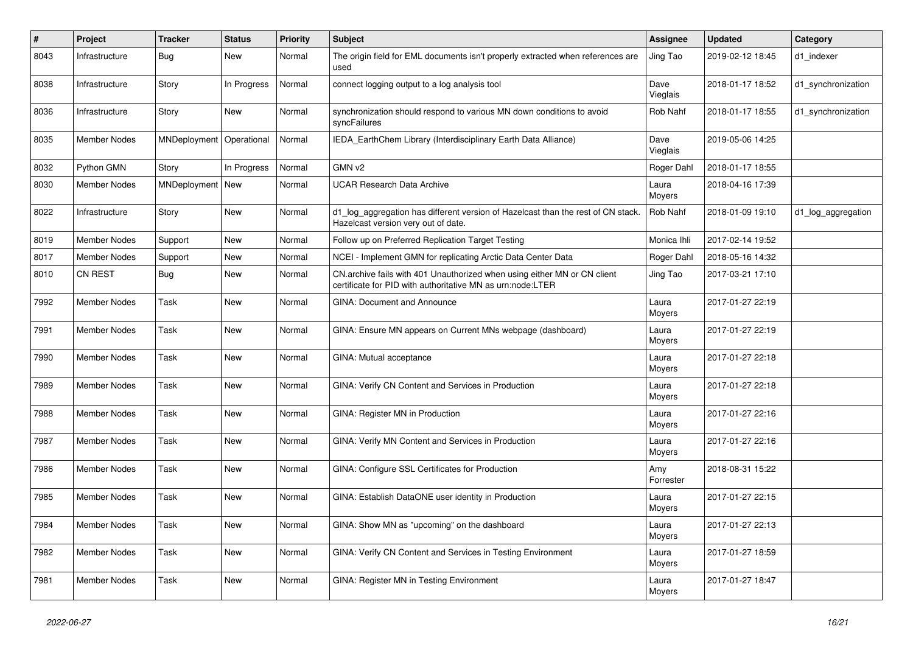| $\pmb{\#}$ | <b>Project</b>      | <b>Tracker</b>     | <b>Status</b> | <b>Priority</b> | <b>Subject</b>                                                                                                                         | <b>Assignee</b>  | <b>Updated</b>   | Category           |
|------------|---------------------|--------------------|---------------|-----------------|----------------------------------------------------------------------------------------------------------------------------------------|------------------|------------------|--------------------|
| 8043       | Infrastructure      | Bug                | New           | Normal          | The origin field for EML documents isn't properly extracted when references are<br>used                                                | Jing Tao         | 2019-02-12 18:45 | d1 indexer         |
| 8038       | Infrastructure      | Story              | In Progress   | Normal          | connect logging output to a log analysis tool                                                                                          | Dave<br>Vieglais | 2018-01-17 18:52 | d1_synchronization |
| 8036       | Infrastructure      | Story              | <b>New</b>    | Normal          | synchronization should respond to various MN down conditions to avoid<br>syncFailures                                                  | Rob Nahf         | 2018-01-17 18:55 | d1_synchronization |
| 8035       | <b>Member Nodes</b> | MNDeployment       | Operational   | Normal          | IEDA_EarthChem Library (Interdisciplinary Earth Data Alliance)                                                                         | Dave<br>Vieglais | 2019-05-06 14:25 |                    |
| 8032       | Python GMN          | Story              | In Progress   | Normal          | GMN v2                                                                                                                                 | Roger Dahl       | 2018-01-17 18:55 |                    |
| 8030       | Member Nodes        | MNDeployment   New |               | Normal          | <b>UCAR Research Data Archive</b>                                                                                                      | Laura<br>Moyers  | 2018-04-16 17:39 |                    |
| 8022       | Infrastructure      | Story              | New           | Normal          | d1_log_aggregation has different version of Hazelcast than the rest of CN stack.<br>Hazelcast version very out of date.                | Rob Nahf         | 2018-01-09 19:10 | d1_log_aggregation |
| 8019       | <b>Member Nodes</b> | Support            | New           | Normal          | Follow up on Preferred Replication Target Testing                                                                                      | Monica Ihli      | 2017-02-14 19:52 |                    |
| 8017       | <b>Member Nodes</b> | Support            | <b>New</b>    | Normal          | NCEI - Implement GMN for replicating Arctic Data Center Data                                                                           | Roger Dahl       | 2018-05-16 14:32 |                    |
| 8010       | <b>CN REST</b>      | <b>Bug</b>         | <b>New</b>    | Normal          | CN.archive fails with 401 Unauthorized when using either MN or CN client<br>certificate for PID with authoritative MN as urn:node:LTER | Jing Tao         | 2017-03-21 17:10 |                    |
| 7992       | <b>Member Nodes</b> | Task               | New           | Normal          | <b>GINA: Document and Announce</b>                                                                                                     | Laura<br>Moyers  | 2017-01-27 22:19 |                    |
| 7991       | <b>Member Nodes</b> | Task               | <b>New</b>    | Normal          | GINA: Ensure MN appears on Current MNs webpage (dashboard)                                                                             | Laura<br>Moyers  | 2017-01-27 22:19 |                    |
| 7990       | <b>Member Nodes</b> | Task               | <b>New</b>    | Normal          | GINA: Mutual acceptance                                                                                                                | Laura<br>Moyers  | 2017-01-27 22:18 |                    |
| 7989       | Member Nodes        | Task               | <b>New</b>    | Normal          | GINA: Verify CN Content and Services in Production                                                                                     | Laura<br>Moyers  | 2017-01-27 22:18 |                    |
| 7988       | <b>Member Nodes</b> | Task               | New           | Normal          | GINA: Register MN in Production                                                                                                        | Laura<br>Moyers  | 2017-01-27 22:16 |                    |
| 7987       | Member Nodes        | Task               | New           | Normal          | GINA: Verify MN Content and Services in Production                                                                                     | Laura<br>Moyers  | 2017-01-27 22:16 |                    |
| 7986       | <b>Member Nodes</b> | Task               | <b>New</b>    | Normal          | GINA: Configure SSL Certificates for Production                                                                                        | Amy<br>Forrester | 2018-08-31 15:22 |                    |
| 7985       | Member Nodes        | Task               | New           | Normal          | GINA: Establish DataONE user identity in Production                                                                                    | Laura<br>Moyers  | 2017-01-27 22:15 |                    |
| 7984       | Member Nodes        | Task               | New           | Normal          | GINA: Show MN as "upcoming" on the dashboard                                                                                           | Laura<br>Moyers  | 2017-01-27 22:13 |                    |
| 7982       | Member Nodes        | Task               | New           | Normal          | GINA: Verify CN Content and Services in Testing Environment                                                                            | Laura<br>Moyers  | 2017-01-27 18:59 |                    |
| 7981       | Member Nodes        | Task               | New           | Normal          | GINA: Register MN in Testing Environment                                                                                               | Laura<br>Moyers  | 2017-01-27 18:47 |                    |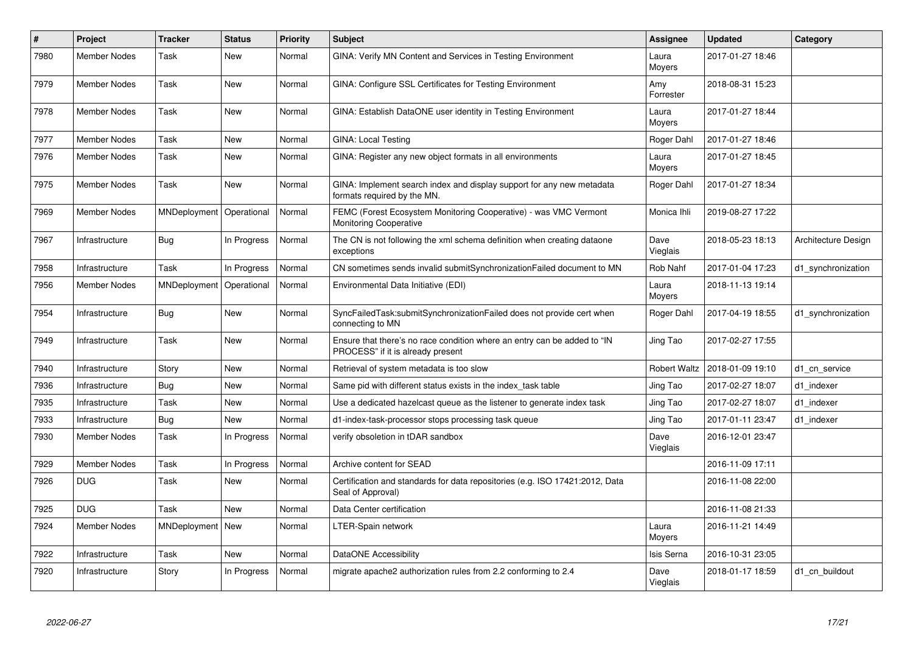| #    | <b>Project</b>      | <b>Tracker</b> | <b>Status</b> | <b>Priority</b> | <b>Subject</b>                                                                                                | Assignee            | <b>Updated</b>   | Category            |
|------|---------------------|----------------|---------------|-----------------|---------------------------------------------------------------------------------------------------------------|---------------------|------------------|---------------------|
| 7980 | Member Nodes        | Task           | <b>New</b>    | Normal          | GINA: Verify MN Content and Services in Testing Environment                                                   | Laura<br>Moyers     | 2017-01-27 18:46 |                     |
| 7979 | Member Nodes        | Task           | <b>New</b>    | Normal          | GINA: Configure SSL Certificates for Testing Environment                                                      | Amy<br>Forrester    | 2018-08-31 15:23 |                     |
| 7978 | <b>Member Nodes</b> | Task           | <b>New</b>    | Normal          | GINA: Establish DataONE user identity in Testing Environment                                                  | Laura<br>Moyers     | 2017-01-27 18:44 |                     |
| 7977 | Member Nodes        | Task           | <b>New</b>    | Normal          | GINA: Local Testing                                                                                           | Roger Dahl          | 2017-01-27 18:46 |                     |
| 7976 | <b>Member Nodes</b> | Task           | <b>New</b>    | Normal          | GINA: Register any new object formats in all environments                                                     | Laura<br>Moyers     | 2017-01-27 18:45 |                     |
| 7975 | <b>Member Nodes</b> | Task           | <b>New</b>    | Normal          | GINA: Implement search index and display support for any new metadata<br>formats required by the MN.          | Roger Dahl          | 2017-01-27 18:34 |                     |
| 7969 | <b>Member Nodes</b> | MNDeployment   | Operational   | Normal          | FEMC (Forest Ecosystem Monitoring Cooperative) - was VMC Vermont<br>Monitoring Cooperative                    | Monica Ihli         | 2019-08-27 17:22 |                     |
| 7967 | Infrastructure      | <b>Bug</b>     | In Progress   | Normal          | The CN is not following the xml schema definition when creating dataone<br>exceptions                         | Dave<br>Vieglais    | 2018-05-23 18:13 | Architecture Design |
| 7958 | Infrastructure      | Task           | In Progress   | Normal          | CN sometimes sends invalid submitSynchronizationFailed document to MN                                         | Rob Nahf            | 2017-01-04 17:23 | d1_synchronization  |
| 7956 | Member Nodes        | MNDeployment   | Operational   | Normal          | Environmental Data Initiative (EDI)                                                                           | Laura<br>Moyers     | 2018-11-13 19:14 |                     |
| 7954 | Infrastructure      | Bug            | New           | Normal          | SyncFailedTask:submitSynchronizationFailed does not provide cert when<br>connecting to MN                     | Roger Dahl          | 2017-04-19 18:55 | d1 synchronization  |
| 7949 | Infrastructure      | Task           | <b>New</b>    | Normal          | Ensure that there's no race condition where an entry can be added to "IN<br>PROCESS" if it is already present | Jing Tao            | 2017-02-27 17:55 |                     |
| 7940 | Infrastructure      | Story          | <b>New</b>    | Normal          | Retrieval of system metadata is too slow                                                                      | <b>Robert Waltz</b> | 2018-01-09 19:10 | d1 cn service       |
| 7936 | Infrastructure      | <b>Bug</b>     | New           | Normal          | Same pid with different status exists in the index_task table                                                 | Jing Tao            | 2017-02-27 18:07 | d1_indexer          |
| 7935 | Infrastructure      | Task           | New           | Normal          | Use a dedicated hazelcast queue as the listener to generate index task                                        | Jing Tao            | 2017-02-27 18:07 | d1 indexer          |
| 7933 | Infrastructure      | <b>Bug</b>     | <b>New</b>    | Normal          | d1-index-task-processor stops processing task queue                                                           | Jing Tao            | 2017-01-11 23:47 | d1 indexer          |
| 7930 | Member Nodes        | Task           | In Progress   | Normal          | verify obsoletion in tDAR sandbox                                                                             | Dave<br>Vieglais    | 2016-12-01 23:47 |                     |
| 7929 | Member Nodes        | Task           | In Progress   | Normal          | Archive content for SEAD                                                                                      |                     | 2016-11-09 17:11 |                     |
| 7926 | <b>DUG</b>          | Task           | New           | Normal          | Certification and standards for data repositories (e.g. ISO 17421:2012, Data<br>Seal of Approval)             |                     | 2016-11-08 22:00 |                     |
| 7925 | <b>DUG</b>          | Task           | <b>New</b>    | Normal          | Data Center certification                                                                                     |                     | 2016-11-08 21:33 |                     |
| 7924 | <b>Member Nodes</b> | MNDeployment   | New           | Normal          | LTER-Spain network                                                                                            | Laura<br>Moyers     | 2016-11-21 14:49 |                     |
| 7922 | Infrastructure      | Task           | <b>New</b>    | Normal          | DataONE Accessibility                                                                                         | Isis Serna          | 2016-10-31 23:05 |                     |
| 7920 | Infrastructure      | Story          | In Progress   | Normal          | migrate apache2 authorization rules from 2.2 conforming to 2.4                                                | Dave<br>Vieglais    | 2018-01-17 18:59 | d1 cn buildout      |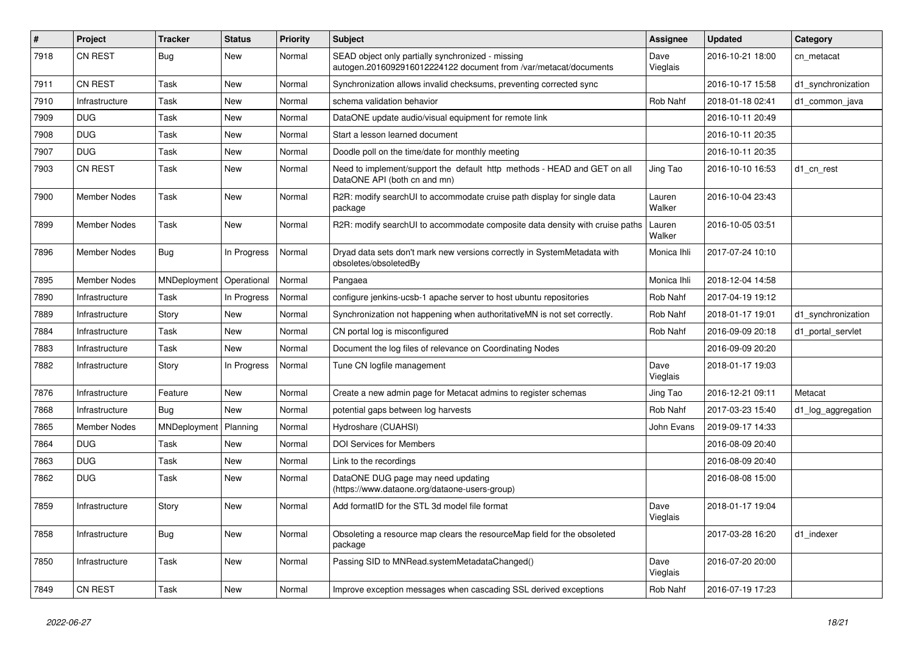| #    | Project             | <b>Tracker</b>          | <b>Status</b> | <b>Priority</b> | <b>Subject</b>                                                                                                        | <b>Assignee</b>  | <b>Updated</b>   | Category           |
|------|---------------------|-------------------------|---------------|-----------------|-----------------------------------------------------------------------------------------------------------------------|------------------|------------------|--------------------|
| 7918 | <b>CN REST</b>      | <b>Bug</b>              | New           | Normal          | SEAD object only partially synchronized - missing<br>autogen.2016092916012224122 document from /var/metacat/documents | Dave<br>Vieglais | 2016-10-21 18:00 | cn_metacat         |
| 7911 | CN REST             | Task                    | New           | Normal          | Synchronization allows invalid checksums, preventing corrected sync                                                   |                  | 2016-10-17 15:58 | d1 synchronization |
| 7910 | Infrastructure      | Task                    | New           | Normal          | schema validation behavior                                                                                            | Rob Nahf         | 2018-01-18 02:41 | d1 common java     |
| 7909 | <b>DUG</b>          | Task                    | <b>New</b>    | Normal          | DataONE update audio/visual equipment for remote link                                                                 |                  | 2016-10-11 20:49 |                    |
| 7908 | <b>DUG</b>          | Task                    | New           | Normal          | Start a lesson learned document                                                                                       |                  | 2016-10-11 20:35 |                    |
| 7907 | <b>DUG</b>          | Task                    | <b>New</b>    | Normal          | Doodle poll on the time/date for monthly meeting                                                                      |                  | 2016-10-11 20:35 |                    |
| 7903 | CN REST             | Task                    | New           | Normal          | Need to implement/support the default http methods - HEAD and GET on all<br>DataONE API (both cn and mn)              | Jing Tao         | 2016-10-10 16:53 | d1 cn rest         |
| 7900 | Member Nodes        | Task                    | New           | Normal          | R2R: modify searchUI to accommodate cruise path display for single data<br>package                                    | Lauren<br>Walker | 2016-10-04 23:43 |                    |
| 7899 | <b>Member Nodes</b> | Task                    | New           | Normal          | R2R: modify searchUI to accommodate composite data density with cruise paths                                          | Lauren<br>Walker | 2016-10-05 03:51 |                    |
| 7896 | Member Nodes        | Bug                     | In Progress   | Normal          | Dryad data sets don't mark new versions correctly in SystemMetadata with<br>obsoletes/obsoletedBy                     | Monica Ihli      | 2017-07-24 10:10 |                    |
| 7895 | Member Nodes        | MNDeployment            | Operational   | Normal          | Pangaea                                                                                                               | Monica Ihli      | 2018-12-04 14:58 |                    |
| 7890 | Infrastructure      | Task                    | In Progress   | Normal          | configure jenkins-ucsb-1 apache server to host ubuntu repositories                                                    | Rob Nahf         | 2017-04-19 19:12 |                    |
| 7889 | Infrastructure      | Story                   | <b>New</b>    | Normal          | Synchronization not happening when authoritativeMN is not set correctly.                                              | Rob Nahf         | 2018-01-17 19:01 | d1_synchronization |
| 7884 | Infrastructure      | Task                    | New           | Normal          | CN portal log is misconfigured                                                                                        | Rob Nahf         | 2016-09-09 20:18 | d1 portal servlet  |
| 7883 | Infrastructure      | Task                    | New           | Normal          | Document the log files of relevance on Coordinating Nodes                                                             |                  | 2016-09-09 20:20 |                    |
| 7882 | Infrastructure      | Story                   | In Progress   | Normal          | Tune CN logfile management                                                                                            | Dave<br>Vieglais | 2018-01-17 19:03 |                    |
| 7876 | Infrastructure      | Feature                 | <b>New</b>    | Normal          | Create a new admin page for Metacat admins to register schemas                                                        | Jing Tao         | 2016-12-21 09:11 | Metacat            |
| 7868 | Infrastructure      | Bug                     | <b>New</b>    | Normal          | potential gaps between log harvests                                                                                   | Rob Nahf         | 2017-03-23 15:40 | d1_log_aggregation |
| 7865 | Member Nodes        | MNDeployment   Planning |               | Normal          | Hydroshare (CUAHSI)                                                                                                   | John Evans       | 2019-09-17 14:33 |                    |
| 7864 | <b>DUG</b>          | Task                    | New           | Normal          | <b>DOI Services for Members</b>                                                                                       |                  | 2016-08-09 20:40 |                    |
| 7863 | <b>DUG</b>          | Task                    | New           | Normal          | Link to the recordings                                                                                                |                  | 2016-08-09 20:40 |                    |
| 7862 | <b>DUG</b>          | Task                    | New           | Normal          | DataONE DUG page may need updating<br>(https://www.dataone.org/dataone-users-group)                                   |                  | 2016-08-08 15:00 |                    |
| 7859 | Infrastructure      | Story                   | New           | Normal          | Add formatID for the STL 3d model file format                                                                         | Dave<br>Vieglais | 2018-01-17 19:04 |                    |
| 7858 | Infrastructure      | <b>Bug</b>              | New           | Normal          | Obsoleting a resource map clears the resourceMap field for the obsoleted<br>package                                   |                  | 2017-03-28 16:20 | d1 indexer         |
| 7850 | Infrastructure      | Task                    | New           | Normal          | Passing SID to MNRead.systemMetadataChanged()                                                                         | Dave<br>Vieglais | 2016-07-20 20:00 |                    |
| 7849 | CN REST             | Task                    | New           | Normal          | Improve exception messages when cascading SSL derived exceptions                                                      | Rob Nahf         | 2016-07-19 17:23 |                    |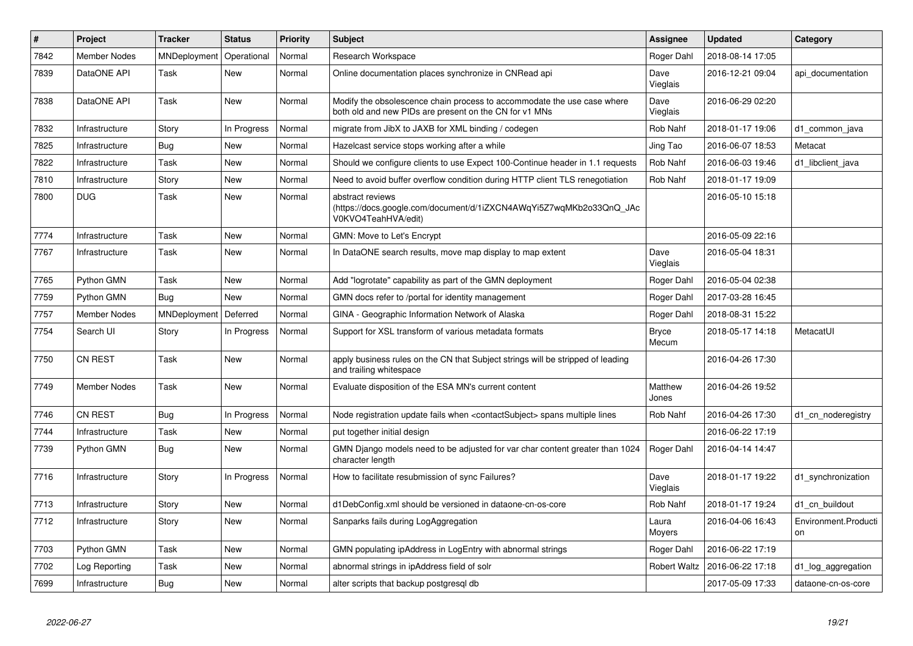| #    | <b>Project</b>      | <b>Tracker</b> | <b>Status</b> | <b>Priority</b> | <b>Subject</b>                                                                                                                    | Assignee              | <b>Updated</b>   | Category                   |
|------|---------------------|----------------|---------------|-----------------|-----------------------------------------------------------------------------------------------------------------------------------|-----------------------|------------------|----------------------------|
| 7842 | <b>Member Nodes</b> | MNDeployment   | Operational   | Normal          | Research Workspace                                                                                                                | Roger Dahl            | 2018-08-14 17:05 |                            |
| 7839 | DataONE API         | Task           | <b>New</b>    | Normal          | Online documentation places synchronize in CNRead api                                                                             | Dave<br>Vieglais      | 2016-12-21 09:04 | api documentation          |
| 7838 | DataONE API         | Task           | <b>New</b>    | Normal          | Modify the obsolescence chain process to accommodate the use case where<br>both old and new PIDs are present on the CN for v1 MNs | Dave<br>Vieglais      | 2016-06-29 02:20 |                            |
| 7832 | Infrastructure      | Story          | In Progress   | Normal          | migrate from JibX to JAXB for XML binding / codegen                                                                               | Rob Nahf              | 2018-01-17 19:06 | d1 common java             |
| 7825 | Infrastructure      | Bug            | <b>New</b>    | Normal          | Hazelcast service stops working after a while                                                                                     | Jing Tao              | 2016-06-07 18:53 | Metacat                    |
| 7822 | Infrastructure      | Task           | <b>New</b>    | Normal          | Should we configure clients to use Expect 100-Continue header in 1.1 requests                                                     | Rob Nahf              | 2016-06-03 19:46 | d1_libclient_java          |
| 7810 | Infrastructure      | Story          | <b>New</b>    | Normal          | Need to avoid buffer overflow condition during HTTP client TLS renegotiation                                                      | Rob Nahf              | 2018-01-17 19:09 |                            |
| 7800 | <b>DUG</b>          | Task           | <b>New</b>    | Normal          | abstract reviews<br>(https://docs.google.com/document/d/1iZXCN4AWqYi5Z7wqMKb2o33QnQ JAc<br>V0KVO4TeahHVA/edit)                    |                       | 2016-05-10 15:18 |                            |
| 7774 | Infrastructure      | Task           | <b>New</b>    | Normal          | GMN: Move to Let's Encrypt                                                                                                        |                       | 2016-05-09 22:16 |                            |
| 7767 | Infrastructure      | Task           | <b>New</b>    | Normal          | In DataONE search results, move map display to map extent                                                                         | Dave<br>Vieglais      | 2016-05-04 18:31 |                            |
| 7765 | Python GMN          | Task           | <b>New</b>    | Normal          | Add "logrotate" capability as part of the GMN deployment                                                                          | Roger Dahl            | 2016-05-04 02:38 |                            |
| 7759 | Python GMN          | <b>Bug</b>     | <b>New</b>    | Normal          | GMN docs refer to /portal for identity management                                                                                 | Roger Dahl            | 2017-03-28 16:45 |                            |
| 7757 | Member Nodes        | MNDeployment   | Deferred      | Normal          | GINA - Geographic Information Network of Alaska                                                                                   | Roger Dahl            | 2018-08-31 15:22 |                            |
| 7754 | Search UI           | Story          | In Progress   | Normal          | Support for XSL transform of various metadata formats                                                                             | <b>Bryce</b><br>Mecum | 2018-05-17 14:18 | MetacatUI                  |
| 7750 | <b>CN REST</b>      | Task           | New           | Normal          | apply business rules on the CN that Subject strings will be stripped of leading<br>and trailing whitespace                        |                       | 2016-04-26 17:30 |                            |
| 7749 | Member Nodes        | Task           | New           | Normal          | Evaluate disposition of the ESA MN's current content                                                                              | Matthew<br>Jones      | 2016-04-26 19:52 |                            |
| 7746 | <b>CN REST</b>      | <b>Bug</b>     | In Progress   | Normal          | Node registration update fails when <contactsubject> spans multiple lines</contactsubject>                                        | Rob Nahf              | 2016-04-26 17:30 | d1_cn_noderegistry         |
| 7744 | Infrastructure      | Task           | <b>New</b>    | Normal          | put together initial design                                                                                                       |                       | 2016-06-22 17:19 |                            |
| 7739 | Python GMN          | <b>Bug</b>     | New           | Normal          | GMN Django models need to be adjusted for var char content greater than 1024<br>character length                                  | Roger Dahl            | 2016-04-14 14:47 |                            |
| 7716 | Infrastructure      | Story          | In Progress   | Normal          | How to facilitate resubmission of sync Failures?                                                                                  | Dave<br>Vieglais      | 2018-01-17 19:22 | d1 synchronization         |
| 7713 | Infrastructure      | Story          | <b>New</b>    | Normal          | d1DebConfig.xml should be versioned in dataone-cn-os-core                                                                         | Rob Nahf              | 2018-01-17 19:24 | d1 cn buildout             |
| 7712 | Infrastructure      | Story          | <b>New</b>    | Normal          | Sanparks fails during LogAggregation                                                                                              | Laura<br>Moyers       | 2016-04-06 16:43 | Environment.Producti<br>on |
| 7703 | Python GMN          | Task           | <b>New</b>    | Normal          | GMN populating ipAddress in LogEntry with abnormal strings                                                                        | Roger Dahl            | 2016-06-22 17:19 |                            |
| 7702 | Log Reporting       | Task           | <b>New</b>    | Normal          | abnormal strings in ipAddress field of solr                                                                                       | <b>Robert Waltz</b>   | 2016-06-22 17:18 | d1_log_aggregation         |
| 7699 | Infrastructure      | <b>Bug</b>     | <b>New</b>    | Normal          | alter scripts that backup postgresql db                                                                                           |                       | 2017-05-09 17:33 | dataone-cn-os-core         |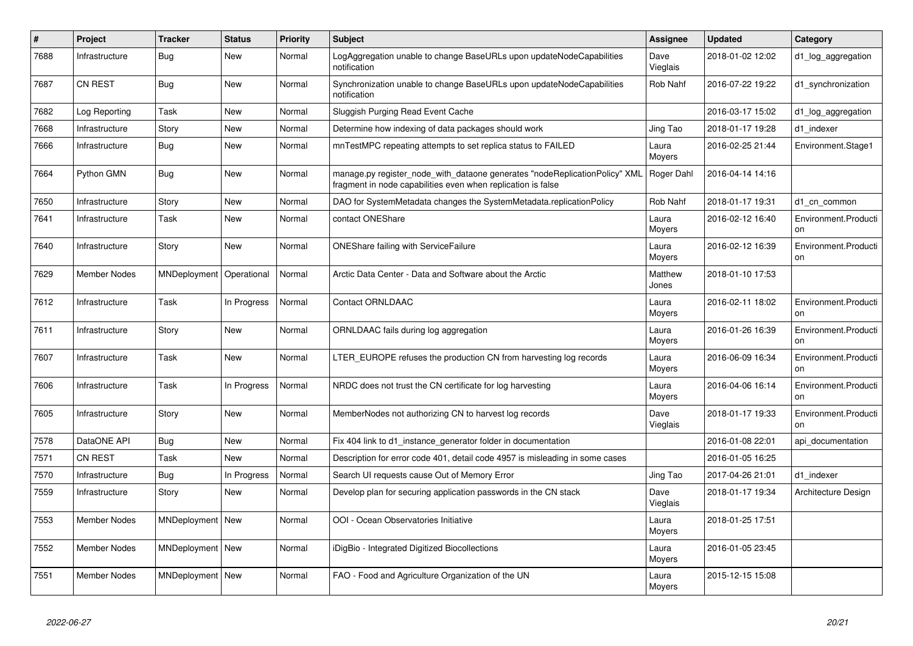| #    | Project             | <b>Tracker</b>     | <b>Status</b> | <b>Priority</b> | <b>Subject</b>                                                                                                                             | Assignee         | <b>Updated</b>   | Category                   |
|------|---------------------|--------------------|---------------|-----------------|--------------------------------------------------------------------------------------------------------------------------------------------|------------------|------------------|----------------------------|
| 7688 | Infrastructure      | Bug                | New           | Normal          | LogAggregation unable to change BaseURLs upon updateNodeCapabilities<br>notification                                                       | Dave<br>Vieglais | 2018-01-02 12:02 | d1 log aggregation         |
| 7687 | <b>CN REST</b>      | Bug                | New           | Normal          | Synchronization unable to change BaseURLs upon updateNodeCapabilities<br>notification                                                      | Rob Nahf         | 2016-07-22 19:22 | d1_synchronization         |
| 7682 | Log Reporting       | Task               | <b>New</b>    | Normal          | Sluggish Purging Read Event Cache                                                                                                          |                  | 2016-03-17 15:02 | d1_log_aggregation         |
| 7668 | Infrastructure      | Story              | New           | Normal          | Determine how indexing of data packages should work                                                                                        | Jing Tao         | 2018-01-17 19:28 | d1 indexer                 |
| 7666 | Infrastructure      | Bug                | <b>New</b>    | Normal          | mnTestMPC repeating attempts to set replica status to FAILED                                                                               | Laura<br>Moyers  | 2016-02-25 21:44 | Environment.Stage1         |
| 7664 | Python GMN          | Bug                | New           | Normal          | manage.py register_node_with_dataone generates "nodeReplicationPolicy" XML<br>fragment in node capabilities even when replication is false | Roger Dahl       | 2016-04-14 14:16 |                            |
| 7650 | Infrastructure      | Story              | <b>New</b>    | Normal          | DAO for SystemMetadata changes the SystemMetadata.replicationPolicy                                                                        | Rob Nahf         | 2018-01-17 19:31 | d1 cn common               |
| 7641 | Infrastructure      | Task               | <b>New</b>    | Normal          | contact ONEShare                                                                                                                           | Laura<br>Moyers  | 2016-02-12 16:40 | Environment.Producti<br>on |
| 7640 | Infrastructure      | Story              | New           | Normal          | <b>ONEShare failing with ServiceFailure</b>                                                                                                | Laura<br>Moyers  | 2016-02-12 16:39 | Environment.Producti<br>on |
| 7629 | <b>Member Nodes</b> | MNDeployment       | Operational   | Normal          | Arctic Data Center - Data and Software about the Arctic                                                                                    | Matthew<br>Jones | 2018-01-10 17:53 |                            |
| 7612 | Infrastructure      | Task               | In Progress   | Normal          | <b>Contact ORNLDAAC</b>                                                                                                                    | Laura<br>Moyers  | 2016-02-11 18:02 | Environment.Producti<br>on |
| 7611 | Infrastructure      | Story              | <b>New</b>    | Normal          | ORNLDAAC fails during log aggregation                                                                                                      | Laura<br>Moyers  | 2016-01-26 16:39 | Environment.Producti<br>on |
| 7607 | Infrastructure      | Task               | New           | Normal          | LTER EUROPE refuses the production CN from harvesting log records                                                                          | Laura<br>Moyers  | 2016-06-09 16:34 | Environment.Producti<br>on |
| 7606 | Infrastructure      | Task               | In Progress   | Normal          | NRDC does not trust the CN certificate for log harvesting                                                                                  | Laura<br>Moyers  | 2016-04-06 16:14 | Environment.Producti<br>on |
| 7605 | Infrastructure      | Story              | <b>New</b>    | Normal          | MemberNodes not authorizing CN to harvest log records                                                                                      | Dave<br>Vieglais | 2018-01-17 19:33 | Environment.Producti<br>on |
| 7578 | DataONE API         | <b>Bug</b>         | <b>New</b>    | Normal          | Fix 404 link to d1_instance_generator folder in documentation                                                                              |                  | 2016-01-08 22:01 | api documentation          |
| 7571 | <b>CN REST</b>      | Task               | <b>New</b>    | Normal          | Description for error code 401, detail code 4957 is misleading in some cases                                                               |                  | 2016-01-05 16:25 |                            |
| 7570 | Infrastructure      | Bug                | In Progress   | Normal          | Search UI requests cause Out of Memory Error                                                                                               | Jing Tao         | 2017-04-26 21:01 | d1 indexer                 |
| 7559 | Infrastructure      | Story              | <b>New</b>    | Normal          | Develop plan for securing application passwords in the CN stack                                                                            | Dave<br>Vieglais | 2018-01-17 19:34 | Architecture Design        |
| 7553 | <b>Member Nodes</b> | MNDeployment   New |               | Normal          | OOI - Ocean Observatories Initiative                                                                                                       | Laura<br>Moyers  | 2018-01-25 17:51 |                            |
| 7552 | <b>Member Nodes</b> | MNDeployment   New |               | Normal          | iDigBio - Integrated Digitized Biocollections                                                                                              | Laura<br>Moyers  | 2016-01-05 23:45 |                            |
| 7551 | Member Nodes        | MNDeployment   New |               | Normal          | FAO - Food and Agriculture Organization of the UN                                                                                          | Laura<br>Moyers  | 2015-12-15 15:08 |                            |